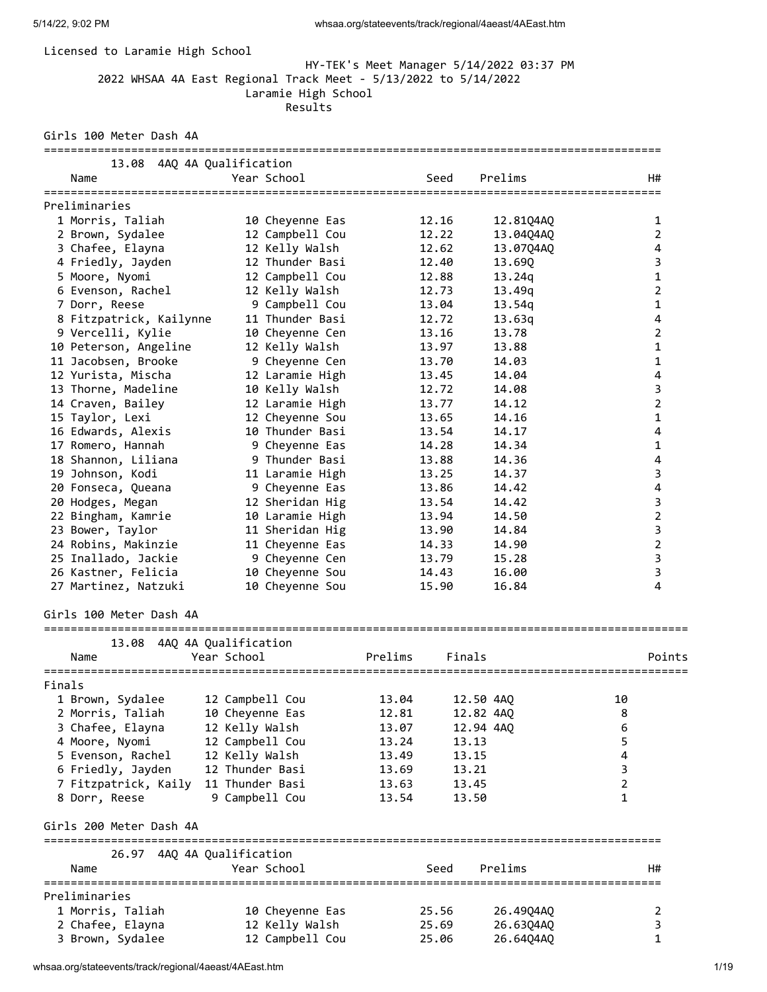# Licensed to Laramie High School

# HY-TEK's Meet Manager 5/14/2022 03:37 PM 2022 WHSAA 4A East Regional Track Meet - 5/13/2022 to 5/14/2022 Laramie High School Results

Girls 100 Meter Dash 4A

| 13.08 4AQ 4A Qualification<br>Name    | Year School                         |         | Seed      | Prelims   |    | H#             |
|---------------------------------------|-------------------------------------|---------|-----------|-----------|----|----------------|
| ====================<br>Preliminaries |                                     |         |           |           |    |                |
| 1 Morris, Taliah                      | 10 Cheyenne Eas                     |         | 12.16     | 12.81Q4AQ |    | 1              |
| 2 Brown, Sydalee                      | 12 Campbell Cou                     |         | 12.22     | 13.04Q4AQ |    | $\overline{2}$ |
| 3 Chafee, Elayna                      | 12 Kelly Walsh                      |         | 12.62     | 13.07Q4AQ |    | 4              |
| 4 Friedly, Jayden                     | 12 Thunder Basi                     |         | 12.40     | 13.69Q    |    | 3              |
| 5 Moore, Nyomi                        | 12 Campbell Cou                     |         | 12.88     | 13.24q    |    | 1              |
| 6 Evenson, Rachel                     | 12 Kelly Walsh                      |         | 12.73     | 13.49g    |    | $\overline{2}$ |
| 7 Dorr, Reese                         | 9 Campbell Cou                      |         | 13.04     | 13.54g    |    | 1              |
| 8 Fitzpatrick, Kailynne               | 11 Thunder Basi                     |         | 12.72     | 13.63q    |    | 4              |
| 9 Vercelli, Kylie                     | 10 Cheyenne Cen                     |         | 13.16     | 13.78     |    | 2              |
| 10 Peterson, Angeline                 | 12 Kelly Walsh                      |         | 13.97     | 13.88     |    | 1              |
| 11 Jacobsen, Brooke                   | 9 Cheyenne Cen                      |         | 13.70     | 14.03     |    | 1              |
| 12 Yurista, Mischa                    | 12 Laramie High                     |         | 13.45     | 14.04     |    | 4              |
| 13 Thorne, Madeline                   | 10 Kelly Walsh                      |         | 12.72     | 14.08     |    | 3              |
| 14 Craven, Bailey                     | 12 Laramie High                     |         | 13.77     | 14.12     |    | $\overline{2}$ |
| 15 Taylor, Lexi                       | 12 Cheyenne Sou                     |         | 13.65     | 14.16     |    | 1              |
| 16 Edwards, Alexis                    | 10 Thunder Basi                     |         | 13.54     | 14.17     |    | 4              |
| 17 Romero, Hannah                     | 9 Cheyenne Eas                      |         | 14.28     | 14.34     |    | 1              |
| 18 Shannon, Liliana                   | 9 Thunder Basi                      |         | 13.88     | 14.36     |    | 4              |
| 19 Johnson, Kodi                      | 11 Laramie High                     |         | 13.25     | 14.37     |    | 3              |
| 20 Fonseca, Queana                    | 9 Cheyenne Eas                      |         | 13.86     | 14.42     |    | 4              |
| 20 Hodges, Megan                      | 12 Sheridan Hig                     |         | 13.54     | 14.42     |    | 3              |
| 22 Bingham, Kamrie                    | 10 Laramie High                     |         | 13.94     | 14.50     |    | 2              |
| 23 Bower, Taylor                      | 11 Sheridan Hig                     |         | 13.90     | 14.84     |    | 3              |
| 24 Robins, Makinzie                   | 11 Cheyenne Eas                     |         | 14.33     | 14.90     |    | $\overline{2}$ |
| 25 Inallado, Jackie                   | 9 Cheyenne Cen                      |         | 13.79     | 15.28     |    | 3              |
| 26 Kastner, Felicia                   | 10 Cheyenne Sou                     |         | 14.43     | 16.00     |    | 3              |
| 27 Martinez, Natzuki                  | 10 Cheyenne Sou                     |         | 15.90     | 16.84     |    | $\overline{4}$ |
| Girls 100 Meter Dash 4A               |                                     |         |           |           |    |                |
|                                       |                                     |         |           |           |    |                |
| 13.08<br>Name                         | 4AQ 4A Qualification<br>Year School | Prelims | Finals    |           |    | Points         |
|                                       |                                     |         |           |           |    |                |
| Finals                                |                                     |         |           |           |    |                |
| 1 Brown, Sydalee                      | 12 Campbell Cou                     | 13.04   | 12.50 4AQ |           | 10 |                |
| 2 Morris, Taliah                      | 10 Cheyenne Eas                     | 12.81   | 12.82 4AQ |           | 8  |                |
| 3 Chafee, Elayna                      | 12 Kelly Walsh                      | 13.07   | 12.94 4AQ |           | 6  |                |
| 4 Moore, Nyomi                        | 12 Campbell Cou                     | 13.24   | 13.13     |           | 5  |                |
| 5 Evenson, Rachel                     | 12 Kelly Walsh                      | 13.49   | 13.15     |           | 4  |                |
| 6 Friedly, Jayden                     | 12 Thunder Basi                     | 13.69   | 13.21     |           | 3  |                |
| 7 Fitzpatrick, Kaily                  | 11 Thunder Basi                     | 13.63   | 13.45     |           | 2  |                |
| 8 Dorr, Reese                         | 9 Campbell Cou                      | 13.54   | 13.50     |           | 1  |                |
| Girls 200 Meter Dash 4A               |                                     |         |           |           |    |                |
| 26.97 4AQ 4A Qualification            |                                     |         |           |           |    |                |
| Name                                  | Year School                         |         | Seed      | Prelims   |    | H#             |
|                                       |                                     |         |           |           |    |                |
| Preliminaries                         |                                     |         |           |           |    |                |
| 1 Morris, Taliah                      | 10 Cheyenne Eas                     |         | 25.56     | 26.49Q4AQ |    | 2              |
| 2 Chafee, Elayna                      | 12 Kelly Walsh                      |         | 25.69     | 26.63Q4AQ |    | 3              |
| 3 Brown, Sydalee                      | 12 Campbell Cou                     |         | 25.06     | 26.64Q4AQ |    | 1              |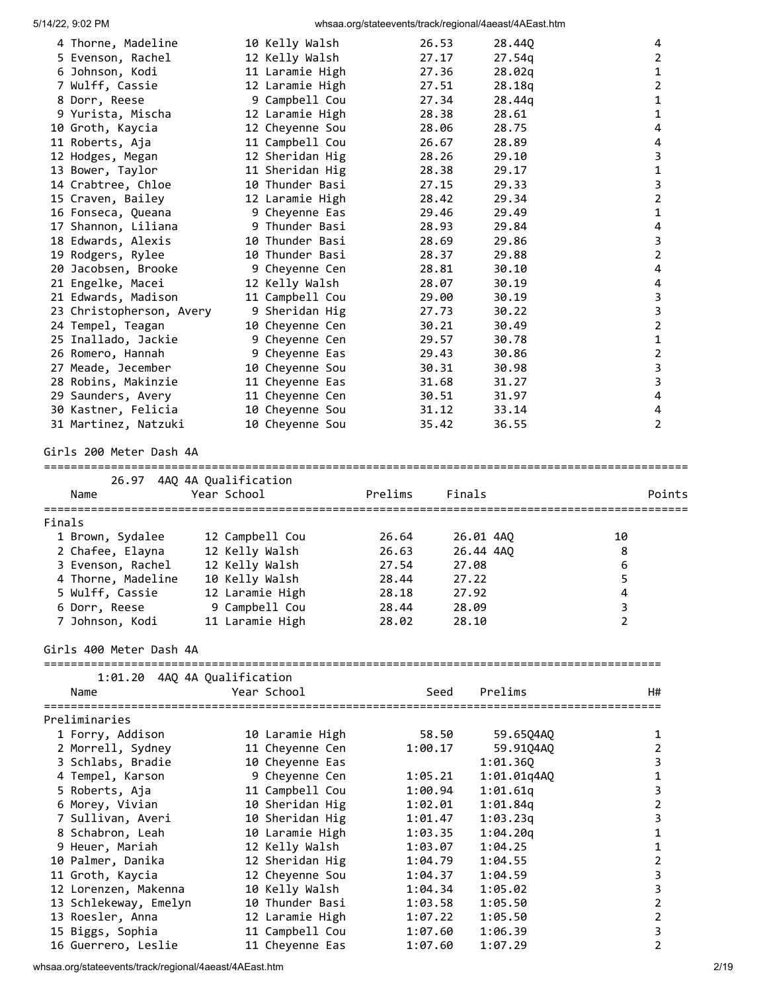|        |                                             |                                    | moda.org/clatocvonto/traditiographal/nacadt/macadtinini |                               |
|--------|---------------------------------------------|------------------------------------|---------------------------------------------------------|-------------------------------|
|        | 4 Thorne, Madeline                          | 10 Kelly Walsh                     | 26.53<br>28.440                                         | 4                             |
|        | 5 Evenson, Rachel                           | 12 Kelly Walsh                     | 27.17<br>27.54q                                         | $\overline{2}$                |
|        | 6 Johnson, Kodi                             | 11 Laramie High                    | 27.36<br>28.02q                                         | $\mathbf{1}$                  |
|        | 7 Wulff, Cassie                             | 12 Laramie High                    | 27.51<br>28.18q                                         | $\overline{2}$                |
|        | 8 Dorr, Reese                               | 9 Campbell Cou                     | 27.34<br>28.44q                                         | 1                             |
|        | 9 Yurista, Mischa                           | 12 Laramie High                    | 28.38<br>28.61<br>28.75                                 | $\mathbf{1}$<br>4             |
|        | 10 Groth, Kaycia<br>11 Roberts, Aja         | 12 Cheyenne Sou<br>11 Campbell Cou | 28.06<br>28.89<br>26.67                                 | 4                             |
|        | 12 Hodges, Megan                            | 12 Sheridan Hig                    | 29.10<br>28.26                                          | 3                             |
|        | 13 Bower, Taylor                            | 11 Sheridan Hig                    | 28.38<br>29.17                                          | $\mathbf{1}$                  |
|        | 14 Crabtree, Chloe                          | 10 Thunder Basi                    | 29.33<br>27.15                                          | $\overline{3}$                |
|        | 15 Craven, Bailey                           | 12 Laramie High                    | 29.34<br>28.42                                          | $\mathbf 2$                   |
|        | 16 Fonseca, Queana                          | 9 Cheyenne Eas                     | 29.49<br>29.46                                          | $\mathbf{1}$                  |
|        | 17 Shannon, Liliana                         | 9 Thunder Basi                     | 29.84<br>28.93                                          | 4                             |
|        | 18 Edwards, Alexis                          | 10 Thunder Basi                    | 28.69<br>29.86                                          | 3                             |
|        | 19 Rodgers, Rylee                           | 10 Thunder Basi                    | 28.37<br>29.88                                          | $\overline{2}$                |
|        | 20 Jacobsen, Brooke                         | 9 Cheyenne Cen                     | 30.10<br>28.81                                          | 4                             |
|        | 21 Engelke, Macei                           | 12 Kelly Walsh                     | 28.07<br>30.19                                          | 4                             |
|        | 21 Edwards, Madison                         | 11 Campbell Cou                    | 30.19<br>29.00                                          | $\mathsf 3$                   |
|        | 23 Christopherson, Avery                    | 9 Sheridan Hig                     | 27.73<br>30.22                                          | $\mathsf 3$                   |
|        | 24 Tempel, Teagan                           | 10 Cheyenne Cen                    | 30.49<br>30.21                                          | $\overline{2}$                |
|        | 25 Inallado, Jackie                         | 9 Cheyenne Cen                     | 29.57<br>30.78                                          | $\mathbf{1}$                  |
|        | 26 Romero, Hannah                           | 9 Cheyenne Eas                     | 30.86<br>29.43                                          | $\mathbf 2$                   |
|        | 27 Meade, Jecember                          | 10 Cheyenne Sou                    | 30.31<br>30.98                                          | 3                             |
|        | 28 Robins, Makinzie                         | 11 Cheyenne Eas                    | 31.27<br>31.68                                          | $\overline{3}$                |
|        | 29 Saunders, Avery                          | 11 Cheyenne Cen                    | 31.97<br>30.51                                          | 4                             |
|        | 30 Kastner, Felicia<br>31 Martinez, Natzuki | 10 Cheyenne Sou<br>10 Cheyenne Sou | 31.12<br>33.14<br>35.42<br>36.55                        | 4<br>$\overline{2}$           |
|        |                                             |                                    |                                                         |                               |
|        | Girls 200 Meter Dash 4A                     |                                    |                                                         |                               |
|        | 26.97 4AQ 4A Qualification<br>Name          | Year School                        | Prelims<br>Finals                                       | Points                        |
|        |                                             |                                    |                                                         |                               |
| Finals |                                             |                                    |                                                         |                               |
|        | 1 Brown, Sydalee                            | 12 Campbell Cou                    | 26.64<br>26.01 4AQ                                      | 10                            |
|        | 2 Chafee, Elayna                            | 12 Kelly Walsh                     | 26.63<br>26.44 4AQ                                      | 8                             |
|        | 3 Evenson, Rachel                           | 12 Kelly Walsh                     | 27.54<br>27.08                                          | 6                             |
|        | 4 Thorne, Madeline                          | 10 Kelly Walsh                     | 27.22<br>28.44                                          | 5                             |
|        | 5 Wulff, Cassie                             | 12 Laramie High                    | 28.18<br>27.92                                          | 4                             |
|        | 6 Dorr, Reese                               | 9 Campbell Cou<br>11 Laramie High  | 28.44<br>28.09                                          | 3<br>$\overline{2}$           |
|        | 7 Johnson, Kodi                             |                                    | 28.02<br>28.10                                          |                               |
|        |                                             |                                    |                                                         |                               |
|        | Girls 400 Meter Dash 4A                     |                                    |                                                         |                               |
|        | 1:01.20 4AQ 4A Qualification                |                                    |                                                         |                               |
|        | Name                                        | Year School                        | Prelims<br>Seed                                         | H#                            |
|        |                                             |                                    |                                                         |                               |
|        | Preliminaries                               |                                    |                                                         |                               |
|        | 1 Forry, Addison                            | 10 Laramie High                    | 58.50<br>59.65Q4AQ                                      | 1                             |
|        | 2 Morrell, Sydney                           | 11 Cheyenne Cen                    | 1:00.17<br>59.91Q4AQ                                    | $\overline{2}$                |
|        | 3 Schlabs, Bradie                           | 10 Cheyenne Eas                    | 1:01.36Q                                                | 3                             |
|        | 4 Tempel, Karson                            | 9 Cheyenne Cen                     | 1:05.21<br>1:01.01q4AQ                                  | 1                             |
|        | 5 Roberts, Aja                              | 11 Campbell Cou                    | 1:00.94<br>1:01.61q                                     | 3                             |
|        | 6 Morey, Vivian                             | 10 Sheridan Hig                    | 1:02.01<br>1:01.84q                                     | $\overline{2}$                |
|        | 7 Sullivan, Averi                           | 10 Sheridan Hig                    | 1:01.47<br>1:03.23q                                     | 3<br>$\mathbf{1}$             |
|        | 8 Schabron, Leah                            | 10 Laramie High                    | 1:03.35<br>1:04.20q                                     |                               |
|        | 9 Heuer, Mariah                             | 12 Kelly Walsh                     | 1:03.07<br>1:04.25<br>1:04.79<br>1:04.55                | $\mathbf 1$<br>$\overline{2}$ |
|        | 10 Palmer, Danika<br>11 Groth, Kaycia       | 12 Sheridan Hig<br>12 Cheyenne Sou | 1:04.37<br>1:04.59                                      | 3                             |
|        | 12 Lorenzen, Makenna                        | 10 Kelly Walsh                     | 1:04.34<br>1:05.02                                      | 3                             |
|        | 13 Schlekeway, Emelyn                       | 10 Thunder Basi                    | 1:03.58<br>1:05.50                                      | $\overline{2}$                |
|        | 13 Roesler, Anna                            | 12 Laramie High                    | 1:07.22<br>1:05.50                                      | $\overline{2}$                |
|        | 15 Biggs, Sophia<br>16 Guerrero, Leslie     | 11 Campbell Cou<br>11 Cheyenne Eas | 1:07.60<br>1:06.39<br>1:07.60<br>1:07.29                | 3<br>$\overline{2}$           |

whsaa.org/stateevents/track/regional/4aeast/4AEast.htm 2/19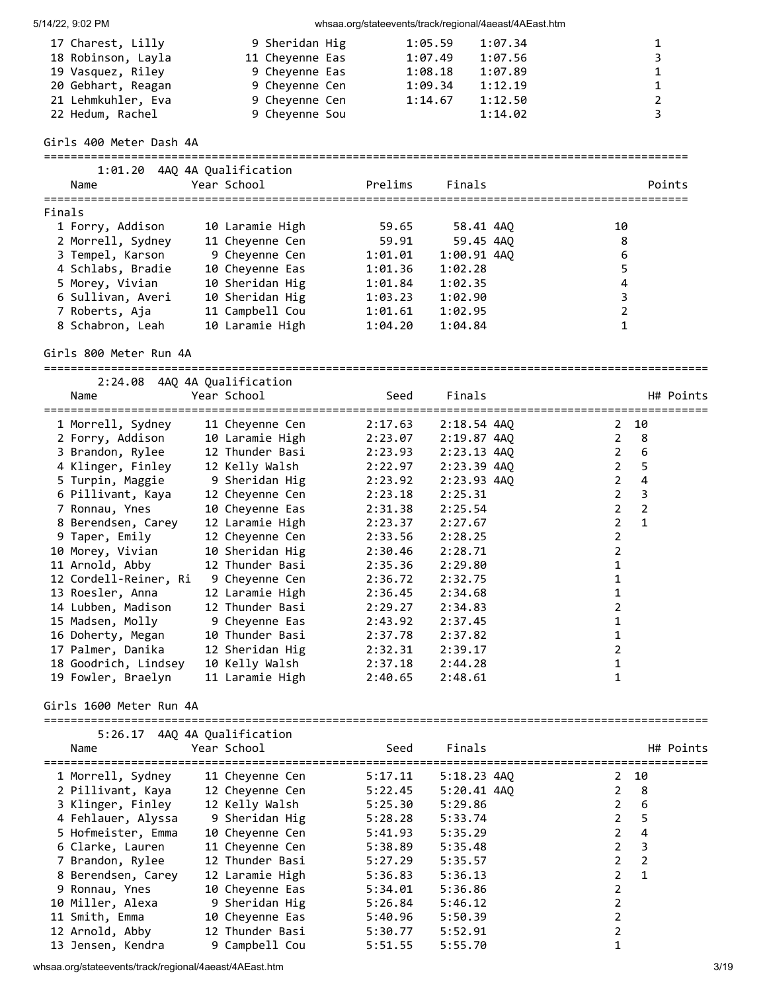5/14/22, 9:02 PM whsaa.org/stateevents/track/regional/4aeast/4AEast.htm 17 Charest, Lilly 9 Sheridan Hig 1:05.59 1:07.34 1 18 Robinson, Layla 11 Cheyenne Eas 1:07.49 1:07.56 3 19 Vasquez, Riley 9 Cheyenne Eas 1:08.18 1:07.89 1 20 Gebhart, Reagan 9 Cheyenne Cen 1:09.34 1:12.19 1 21 Lehmkuhler, Eva 9 Cheyenne Cen 1:14.67 1:12.50 2 22 Hedum, Rachel 9 Cheyenne Sou 1:14.02 3 Girls 400 Meter Dash 4A ================================================================================================ 1:01.20 4AQ 4A Qualification Name Year School Prelims Finals Points ================================================================================================ Finals 1 Forry, Addison 10 Laramie High 59.65 58.41 4AQ 10 2 Morrell, Sydney 11 Cheyenne Cen 59.91 59.45 4AQ 8 3 Tempel, Karson 9 Cheyenne Cen 1:01.01 1:00.91 4AQ 6 4 Schlabs, Bradie 10 Cheyenne Eas 1:01.36 1:02.28 5 5 Morey, Vivian 10 Sheridan Hig 1:01.84 1:02.35 4 6 Sullivan, Averi 10 Sheridan Hig 1:03.23 1:02.90 3 7 Roberts, Aja 11 Campbell Cou 1:01.61 1:02.95 2 8 Schabron, Leah 10 Laramie High 1:04.20 1:04.84 1 Girls 800 Meter Run 4A =================================================================================================== 2:24.08 4AQ 4A Qualification Name Year School Seed Finals H# Points =================================================================================================== 1 Morrell, Sydney 11 Cheyenne Cen 2:17.63 2:18.54 4AQ 2 10 2 Forry, Addison 10 Laramie High 2:23.07 2:19.87 4AQ 2 8 3 Brandon, Rylee 12 Thunder Basi 2:23.93 2:23.13 4AQ 2 6 4 Klinger, Finley 12 Kelly Walsh 2:22.97 2:23.39 4AQ 2 5 5 Turpin, Maggie 9 Sheridan Hig 2:23.92 2:23.93 4AQ 2 4 6 Pillivant, Kaya 12 Cheyenne Cen 2:23.18 2:25.31 2 3 7 Ronnau, Ynes 10 Cheyenne Eas 2:31.38 2:25.54 2 2 8 Berendsen, Carey 12 Laramie High 2:23.37 2:27.67 2 1 9 Taper, Emily 12 Cheyenne Cen 2:33.56 2:28.25 2 10 Morey, Vivian 10 Sheridan Hig 2:30.46 2:28.71 2 11 Arnold, Abby 12 Thunder Basi 2:35.36 2:29.80 1 12 Cordell-Reiner, Ri 9 Cheyenne Cen 2:36.72 2:32.75 1 13 Roesler, Anna 12 Laramie High 2:36.45 2:34.68 1 14 Lubben, Madison 12 Thunder Basi 2:29.27 2:34.83 2 15 Madsen, Molly 9 Cheyenne Eas 2:43.92 2:37.45 1 16 Doherty, Megan 10 Thunder Basi 2:37.78 2:37.82 1 17 Palmer, Danika 12 Sheridan Hig 2:32.31 2:39.17 2 18 Goodrich, Lindsey 10 Kelly Walsh 2:37.18 2:44.28 1 19 Fowler, Braelyn 11 Laramie High 2:40.65 2:48.61 1 Girls 1600 Meter Run 4A =================================================================================================== 5:26.17 4AQ 4A Qualification Name Year School Seed Finals H# Points =================================================================================================== 1 Morrell, Sydney 11 Cheyenne Cen 5:17.11 5:18.23 4AQ 2 10 2 Pillivant, Kaya 12 Cheyenne Cen 5:22.45 5:20.41 4AQ 2 8 3 Klinger, Finley 12 Kelly Walsh 5:25.30 5:29.86 2 6 4 Fehlauer, Alyssa 9 Sheridan Hig 5:28.28 5:33.74 2 5 5 Hofmeister, Emma 10 Cheyenne Cen 5:41.93 5:35.29 2 4 6 Clarke, Lauren 11 Cheyenne Cen 5:38.89 5:35.48 2 3 7 Brandon, Rylee 12 Thunder Basi 5:27.29 5:35.57 2 2 8 Berendsen, Carey 12 Laramie High 5:36.83 5:36.13 2 1 9 Ronnau, Ynes 10 Cheyenne Eas 5:34.01 5:36.86 2 10 Miller, Alexa 9 Sheridan Hig 5:26.84 5:46.12 2 11 Smith, Emma 10 Cheyenne Eas 5:40.96 5:50.39 2 12 Arnold, Abby 12 Thunder Basi 5:30.77 5:52.91 2

13 Jensen, Kendra 9 Campbell Cou 5:51.55 5:55.70 1

whsaa.org/stateevents/track/regional/4aeast/4AEast.htm 3/19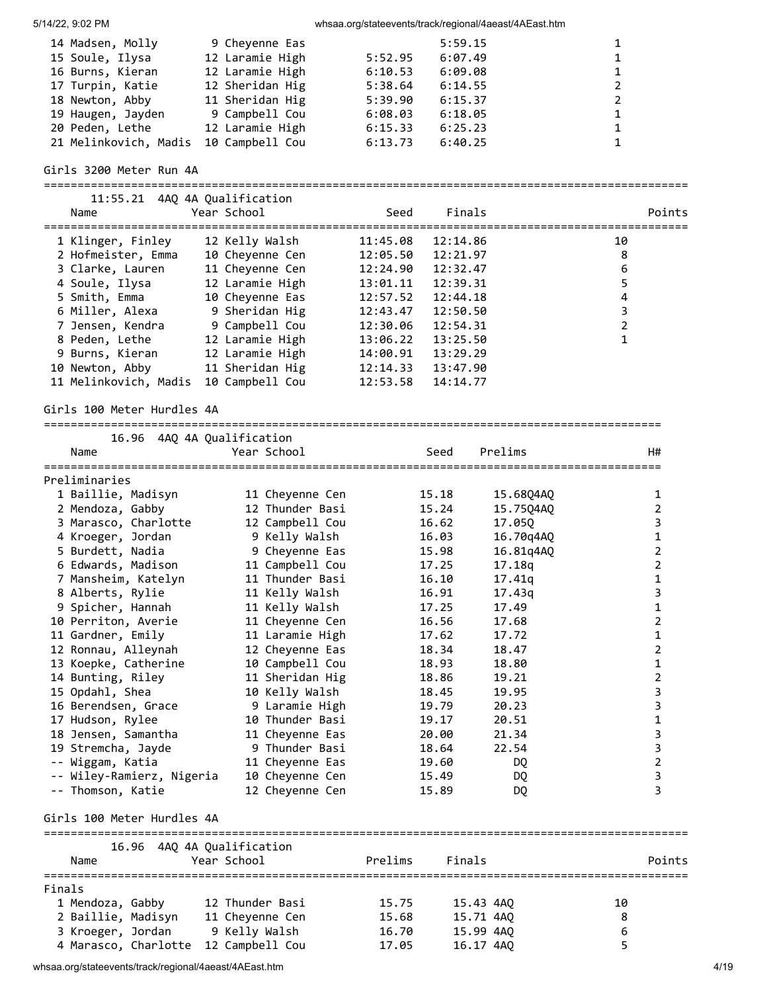| 14 Madsen, Molly      | 9 Cheyenne Eas  |         | 5:59.15 |   |
|-----------------------|-----------------|---------|---------|---|
| 15 Soule, Ilysa       | 12 Laramie High | 5:52.95 | 6:07.49 |   |
| 16 Burns, Kieran      | 12 Laramie High | 6:10.53 | 6:09.08 |   |
| 17 Turpin, Katie      | 12 Sheridan Hig | 5:38.64 | 6:14.55 | 2 |
| 18 Newton, Abby       | 11 Sheridan Hig | 5:39.90 | 6:15.37 |   |
| 19 Haugen, Jayden     | 9 Campbell Cou  | 6:08.03 | 6:18.05 |   |
| 20 Peden, Lethe       | 12 Laramie High | 6:15.33 | 6:25.23 |   |
| 21 Melinkovich, Madis | 10 Campbell Cou | 6:13.73 | 6:40.25 |   |

### Girls 3200 Meter Run 4A

### ================================================================================================ 11:55.21 4AQ 4A Qualification

| Name                       | 11.99.21 THO TH OUGHLILLOUL<br>Year School | Seed               | Finals          | Points |
|----------------------------|--------------------------------------------|--------------------|-----------------|--------|
|                            |                                            | 11:45.08           | 12:14.86        | 10     |
| 2 Hofmeister, Emma         | 10 Cheyenne Cen                            | 12:05.50           | 12:21.97        | 8      |
| 3 Clarke, Lauren           | 11 Cheyenne Cen                            | 12:24.90           | 12:32.47        | 6      |
|                            | 4 Soule, Ilysa 12 Laramie High             | 13:01.11           | 12:39.31        | 5      |
|                            | 5 Smith, Emma 10 Cheyenne Eas              | 12:57.52           | 12:44.18        | 4      |
|                            | 6 Miller, Alexa 9 Sheridan Hig             | 12:43.47           | 12:50.50        | 3      |
| 7 Jensen, Kendra           | 9 Campbell Cou                             | 12:30.06           | 12:54.31        | 2      |
| 8 Peden, Lethe             | 12 Laramie High                            | 13:06.22           | 13:25.50        |        |
| 9 Burns, Kieran            | 12 Laramie High                            | 14:00.91           | 13:29.29        |        |
| 10 Newton, Abby            | 11 Sheridan Hig                            | 12:14.33  13:47.90 |                 |        |
| 11 Melinkovich, Madis      | 10 Campbell Cou                            | 12:53.58           | 14:14.77        |        |
| Girls 100 Meter Hurdles 4A |                                            |                    |                 |        |
| Name                       | 16.96 4AQ 4A Qualification<br>Year School  |                    | Prelims<br>Seed | H#     |

| Preliminaries             |                 |       |           |   |
|---------------------------|-----------------|-------|-----------|---|
| 1 Baillie, Madisyn        | 11 Cheyenne Cen | 15.18 | 15.6804A0 | 1 |
| 2 Mendoza, Gabby          | 12 Thunder Basi | 15.24 | 15.75Q4AQ | 2 |
| 3 Marasco, Charlotte      | 12 Campbell Cou | 16.62 | 17.05Q    | 3 |
| 4 Kroeger, Jordan         | 9 Kelly Walsh   | 16.03 | 16.70q4AQ | 1 |
| 5 Burdett, Nadia          | 9 Cheyenne Eas  | 15.98 | 16.81q4AQ | 2 |
| 6 Edwards, Madison        | 11 Campbell Cou | 17.25 | 17.18q    | 2 |
| 7 Mansheim, Katelyn       | 11 Thunder Basi | 16.10 | 17.41q    | 1 |
| 8 Alberts, Rylie          | 11 Kelly Walsh  | 16.91 | 17.43q    | 3 |
| 9 Spicher, Hannah         | 11 Kelly Walsh  | 17.25 | 17.49     | 1 |
| 10 Perriton, Averie       | 11 Cheyenne Cen | 16.56 | 17.68     | 2 |
| 11 Gardner, Emily         | 11 Laramie High | 17.62 | 17.72     | 1 |
| 12 Ronnau, Alleynah       | 12 Cheyenne Eas | 18.34 | 18.47     | 2 |
| 13 Koepke, Catherine      | 10 Campbell Cou | 18.93 | 18.80     | 1 |
| 14 Bunting, Riley         | 11 Sheridan Hig | 18.86 | 19.21     | 2 |
| 15 Opdahl, Shea           | 10 Kelly Walsh  | 18.45 | 19.95     | 3 |
| 16 Berendsen, Grace       | 9 Laramie High  | 19.79 | 20.23     | 3 |
| 17 Hudson, Rylee          | 10 Thunder Basi | 19.17 | 20.51     | 1 |
| 18 Jensen, Samantha       | 11 Cheyenne Eas | 20.00 | 21.34     | 3 |
| 19 Stremcha, Jayde        | 9 Thunder Basi  | 18.64 | 22.54     | 3 |
| -- Wiggam, Katia          | 11 Cheyenne Eas | 19.60 | DO.       | 2 |
| -- Wiley-Ramierz, Nigeria | 10 Cheyenne Cen | 15.49 | DQ        | 3 |
| -- Thomson, Katie         | 12 Cheyenne Cen | 15.89 | DQ        | 3 |

# Girls 100 Meter Hurdles 4A

|                      | 16.96 4AQ 4A Qualification |         |           |        |
|----------------------|----------------------------|---------|-----------|--------|
| Name                 | Year School                | Prelims | Finals    | Points |
| Finals               |                            |         |           |        |
| 1 Mendoza, Gabby     | 12 Thunder Basi            | 15.75   | 15.43 4AO | 10     |
| 2 Baillie, Madisyn   | 11 Cheyenne Cen            | 15.68   | 15.71 4AO | 8      |
| 3 Kroeger, Jordan    | 9 Kelly Walsh              | 16.70   | 15.99 4AO | 6      |
| 4 Marasco, Charlotte | 12 Campbell Cou            | 17.05   | 16.17 4AO |        |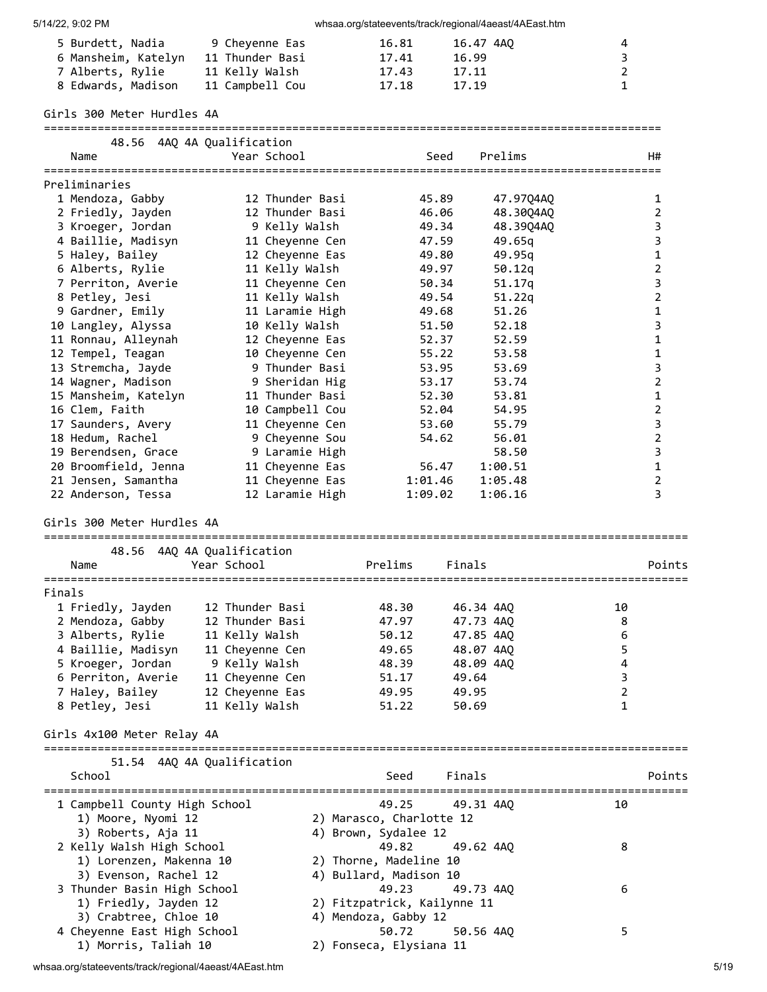| 5 Burdett, Nadia    | 9 Chevenne Eas  | 16.81 | 16.47 4AO | 4 |
|---------------------|-----------------|-------|-----------|---|
| 6 Mansheim, Katelyn | 11 Thunder Basi | 17.41 | 16.99     | 3 |
| 7 Alberts, Rylie    | 11 Kelly Walsh  | 17.43 | 17.11     |   |
| 8 Edwards, Madison  | 11 Campbell Cou | 17.18 | 17.19     | 1 |

| $\overline{ }$<br>8 Edwards, Madison      | TT VCTTÀ MATSH<br>11 Campbell Cou         |                 | <b>17.45</b><br>17.18       | <b>+/.++</b><br>17.19  |                                       | ∠<br>1           |                     |
|-------------------------------------------|-------------------------------------------|-----------------|-----------------------------|------------------------|---------------------------------------|------------------|---------------------|
| Girls 300 Meter Hurdles 4A                |                                           |                 |                             |                        |                                       |                  |                     |
|                                           | 48.56 4AO 4A Oualification                |                 |                             |                        |                                       |                  |                     |
| Name                                      | Year School                               |                 |                             | Seed                   | Prelims                               |                  | H#                  |
| Preliminaries                             |                                           |                 |                             |                        |                                       |                  |                     |
| 1 Mendoza, Gabby                          | 12 Thunder Basi                           |                 |                             | 45.89                  | 47.97Q4AQ                             |                  | 1                   |
| 2 Friedly, Jayden                         | 12 Thunder Basi                           |                 |                             | 46.06                  | 48.30Q4AQ                             |                  | $\overline{2}$      |
| 3 Kroeger, Jordan                         | 9 Kelly Walsh                             |                 |                             | 49.34                  | 48.39Q4AQ                             |                  | 3                   |
| 4 Baillie, Madisyn                        | 11 Cheyenne Cen                           |                 |                             | 47.59                  | 49.65q                                |                  | 3                   |
| 5 Haley, Bailey                           | 12 Cheyenne Eas                           |                 |                             | 49.80                  | 49.95q                                |                  | $\mathbf 1$         |
| 6 Alberts, Rylie                          | 11 Kelly Walsh                            |                 |                             | 49.97<br>50.34         | 50.12q                                |                  | $\mathbf 2$<br>3    |
| 7 Perriton, Averie<br>8 Petley, Jesi      | 11 Cheyenne Cen<br>11 Kelly Walsh         |                 |                             | 49.54                  | 51.17q<br>51.22q                      |                  | $\overline{2}$      |
| 9 Gardner, Emily                          |                                           | 11 Laramie High |                             | 49.68                  | 51.26                                 |                  | 1                   |
| 10 Langley, Alyssa                        | 10 Kelly Walsh                            |                 |                             | 51.50                  | 52.18                                 |                  | 3                   |
| 11 Ronnau, Alleynah                       | 12 Cheyenne Eas                           |                 |                             | 52.37                  | 52.59                                 |                  | 1                   |
| 12 Tempel, Teagan                         | 10 Cheyenne Cen                           |                 |                             | 55.22                  | 53.58                                 |                  | $\mathbf 1$         |
| 13 Stremcha, Jayde                        |                                           | 9 Thunder Basi  |                             | 53.95                  | 53.69                                 |                  | 3                   |
| 14 Wagner, Madison                        |                                           | 9 Sheridan Hig  |                             | 53.17                  | 53.74                                 |                  | $\overline{2}$      |
| 15 Mansheim, Katelyn                      | 11 Thunder Basi                           |                 |                             | 52.30                  | 53.81                                 |                  | $\mathbf{1}$        |
| 16 Clem, Faith                            | 10 Campbell Cou                           |                 |                             | 52.04                  | 54.95                                 |                  | $\overline{2}$      |
| 17 Saunders, Avery                        |                                           | 11 Cheyenne Cen |                             | 53.60                  | 55.79                                 |                  | 3                   |
| 18 Hedum, Rachel                          |                                           | 9 Cheyenne Sou  |                             | 54.62                  | 56.01                                 |                  | $\mathbf 2$         |
| 19 Berendsen, Grace                       |                                           | 9 Laramie High  |                             |                        | 58.50                                 |                  | 3                   |
| 20 Broomfield, Jenna                      | 11 Cheyenne Eas                           |                 |                             | 56.47                  | 1:00.51                               |                  | $\mathbf{1}$        |
| 21 Jensen, Samantha<br>22 Anderson, Tessa | 11 Cheyenne Eas                           | 12 Laramie High | 1:01.46<br>1:09.02          |                        | 1:05.48<br>1:06.16                    |                  | $\overline{2}$<br>3 |
| Name                                      | 48.56 4AQ 4A Qualification<br>Year School |                 | Prelims                     | Finals                 |                                       |                  | Points              |
|                                           |                                           |                 |                             |                        |                                       |                  |                     |
| Finals                                    |                                           |                 |                             |                        |                                       |                  |                     |
| 1 Friedly, Jayden                         | 12 Thunder Basi                           |                 | 48.30                       | 46.34 4AQ              |                                       | 10               |                     |
| 2 Mendoza, Gabby                          | 12 Thunder Basi                           |                 | 47.97                       | 47.73 4AQ              |                                       | 8                |                     |
| 3 Alberts, Rylie                          | 11 Kelly Walsh                            |                 | 50.12                       | 47.85 4AQ              |                                       | $\boldsymbol{6}$ |                     |
| 4 Baillie, Madisyn<br>5 Kroeger, Jordan   | 11 Cheyenne Cen<br>9 Kelly Walsh          |                 | 49.65<br>48.39              | 48.07 4AO<br>48.09 4AQ |                                       | 5<br>4           |                     |
| 6 Perriton, Averie                        | 11 Cheyenne Cen                           |                 | 51.17                       | 49.64                  |                                       | 3                |                     |
| 7 Haley, Bailey                           | 12 Cheyenne Eas                           |                 | 49.95                       | 49.95                  |                                       | 2                |                     |
| 8 Petley, Jesi                            | 11 Kelly Walsh                            |                 | 51.22                       | 50.69                  |                                       | 1                |                     |
| Girls 4x100 Meter Relay 4A                |                                           |                 |                             |                        |                                       |                  |                     |
|                                           | 51.54 4AQ 4A Qualification                |                 |                             |                        |                                       |                  |                     |
| School                                    |                                           |                 | Seed                        | Finals                 | ===================================== |                  | Points              |
| 1 Campbell County High School             |                                           |                 | 49.25                       | 49.31 4AQ              |                                       | 10               |                     |
| 1) Moore, Nyomi 12                        |                                           |                 | 2) Marasco, Charlotte 12    |                        |                                       |                  |                     |
| 3) Roberts, Aja 11                        |                                           |                 | 4) Brown, Sydalee 12        |                        |                                       |                  |                     |
| 2 Kelly Walsh High School                 |                                           |                 | 49.82                       | 49.62 4AQ              |                                       | 8                |                     |
| 1) Lorenzen, Makenna 10                   |                                           |                 | 2) Thorne, Madeline 10      |                        |                                       |                  |                     |
| 3) Evenson, Rachel 12                     |                                           |                 | 4) Bullard, Madison 10      |                        |                                       |                  |                     |
| 3 Thunder Basin High School               |                                           |                 | 49.23                       | 49.73 4AQ              |                                       | 6                |                     |
| 1) Friedly, Jayden 12                     |                                           |                 | 2) Fitzpatrick, Kailynne 11 |                        |                                       |                  |                     |
| 3) Crabtree, Chloe 10                     |                                           |                 | 4) Mendoza, Gabby 12        |                        |                                       |                  |                     |
| 4 Cheyenne East High School               |                                           |                 | 50.72                       | 50.56 4AQ              |                                       | 5                |                     |

1) Morris, Taliah 10 2) Fonseca, Elysiana 11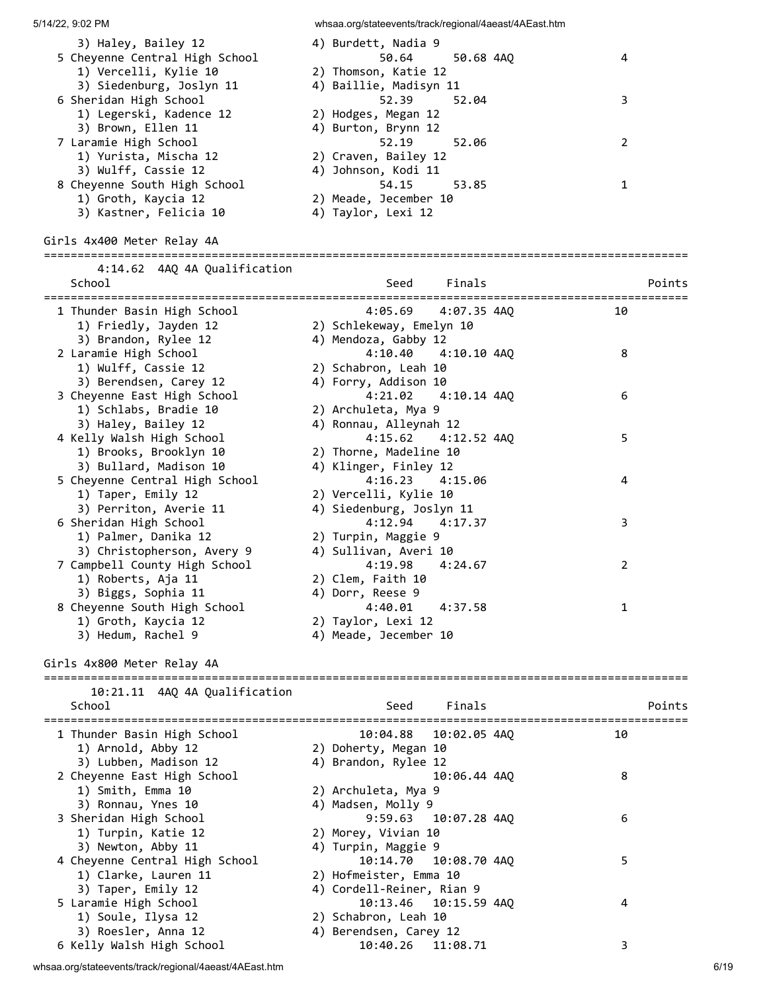| 5/14/22, 9:02 PM                                    | whsaa.org/stateevents/track/regional/4aeast/4AEast.htm |                |
|-----------------------------------------------------|--------------------------------------------------------|----------------|
| 3) Haley, Bailey 12                                 | 4) Burdett, Nadia 9                                    |                |
| 5 Cheyenne Central High School                      | 50.64<br>50.68 4AQ                                     | 4              |
| 1) Vercelli, Kylie 10                               | 2) Thomson, Katie 12                                   |                |
| 3) Siedenburg, Joslyn 11                            | 4) Baillie, Madisyn 11                                 |                |
| 6 Sheridan High School                              | 52.39<br>52.04                                         | 3              |
| 1) Legerski, Kadence 12                             | 2) Hodges, Megan 12                                    |                |
| 3) Brown, Ellen 11                                  | 4) Burton, Brynn 12                                    |                |
| 7 Laramie High School                               | 52.19<br>52.06                                         | $\overline{2}$ |
| 1) Yurista, Mischa 12                               | 2) Craven, Bailey 12                                   |                |
| 3) Wulff, Cassie 12                                 | 4) Johnson, Kodi 11                                    |                |
| 8 Cheyenne South High School                        | 54.15<br>53.85                                         | $\mathbf{1}$   |
| 1) Groth, Kaycia 12                                 | 2) Meade, Jecember 10                                  |                |
| 3) Kastner, Felicia 10                              | 4) Taylor, Lexi 12                                     |                |
| Girls 4x400 Meter Relay 4A                          |                                                        |                |
|                                                     |                                                        |                |
| 4:14.62 4AQ 4A Qualification                        |                                                        |                |
| School                                              | Finals<br>Seed                                         | Points         |
|                                                     |                                                        |                |
| 1 Thunder Basin High School                         | 4:05.69<br>4:07.35 4AO                                 | 10             |
| 1) Friedly, Jayden 12                               | 2) Schlekeway, Emelyn 10                               |                |
| 3) Brandon, Rylee 12                                | 4) Mendoza, Gabby 12                                   |                |
| 2 Laramie High School                               | 4:10.40<br>4:10.10 4AQ                                 | 8              |
| 1) Wulff, Cassie 12                                 | 2) Schabron, Leah 10                                   |                |
| 3) Berendsen, Carey 12                              | 4) Forry, Addison 10                                   |                |
| 3 Cheyenne East High School                         | 4:21.02<br>4:10.14 4AQ                                 | 6              |
| 1) Schlabs, Bradie 10                               | 2) Archuleta, Mya 9                                    |                |
| 3) Haley, Bailey 12                                 | 4) Ronnau, Alleynah 12<br>4:15.62                      | 5              |
| 4 Kelly Walsh High School<br>1) Brooks, Brooklyn 10 | 4:12.52 4AQ                                            |                |
| 3) Bullard, Madison 10                              | 2) Thorne, Madeline 10<br>4) Klinger, Finley 12        |                |
| 5 Cheyenne Central High School                      | 4:16.23<br>4:15.06                                     | 4              |
| 1) Taper, Emily 12                                  | 2) Vercelli, Kylie 10                                  |                |
| 3) Perriton, Averie 11                              | 4) Siedenburg, Joslyn 11                               |                |
| 6 Sheridan High School                              | 4:12.94<br>4:17.37                                     | 3              |
| 1) Palmer, Danika 12                                | 2) Turpin, Maggie 9                                    |                |
| 3) Christopherson, Avery 9                          | 4) Sullivan, Averi 10                                  |                |
| 7 Campbell County High School                       | 4:19.98<br>4:24.67                                     | $\overline{2}$ |
| 1) Roberts, Aja 11                                  | 2) Clem, Faith 10                                      |                |
| 3) Biggs, Sophia 11                                 | 4) Dorr, Reese 9                                       |                |
| 8 Cheyenne South High School                        | 4:40.01<br>4:37.58                                     | 1              |
| 1) Groth, Kaycia 12                                 | 2) Taylor, Lexi 12                                     |                |
| 3) Hedum, Rachel 9                                  | 4) Meade, Jecember 10                                  |                |
|                                                     |                                                        |                |
| Girls 4x800 Meter Relay 4A                          |                                                        |                |
| 10:21.11 4AQ 4A Qualification                       | ===============<br>==================================  |                |
| School                                              | Seed<br>Finals                                         | Points         |
|                                                     |                                                        |                |
| 1 Thunder Basin High School                         | 10:04.88<br>10:02.05 4AQ                               | 10             |
| 1) Arnold, Abby 12                                  | 2) Doherty, Megan 10                                   |                |
| 3) Lubben, Madison 12                               | 4) Brandon, Rylee 12                                   |                |
| 2 Cheyenne East High School                         | 10:06.44 4AQ                                           | 8              |
| 1) Smith, Emma 10                                   | 2) Archuleta, Mya 9                                    |                |
| 3) Ronnau, Ynes 10                                  | 4) Madsen, Molly 9                                     |                |
| 3 Sheridan High School                              | 9:59.63 10:07.28 4AQ                                   | 6              |
| 1) Turpin, Katie 12                                 | 2) Morey, Vivian 10                                    |                |
| 3) Newton, Abby 11                                  | 4) Turpin, Maggie 9                                    |                |
| 4 Cheyenne Central High School                      | 10:14.70<br>10:08.70 4AQ                               | 5              |
| 1) Clarke, Lauren 11                                | 2) Hofmeister, Emma 10                                 |                |
| 3) Taper, Emily 12                                  | 4) Cordell-Reiner, Rian 9                              |                |
| 5 Laramie High School                               | 10:15.59 4AQ<br>10:13.46                               | 4              |
| 1) Soule, Ilysa 12                                  | 2) Schabron, Leah 10                                   |                |
| 3) Roesler, Anna 12                                 | 4) Berendsen, Carey 12                                 |                |
| 6 Kelly Walsh High School                           | 10:40.26<br>11:08.71                                   | 3              |

whsaa.org/stateevents/track/regional/4aeast/4AEast.htm 6/19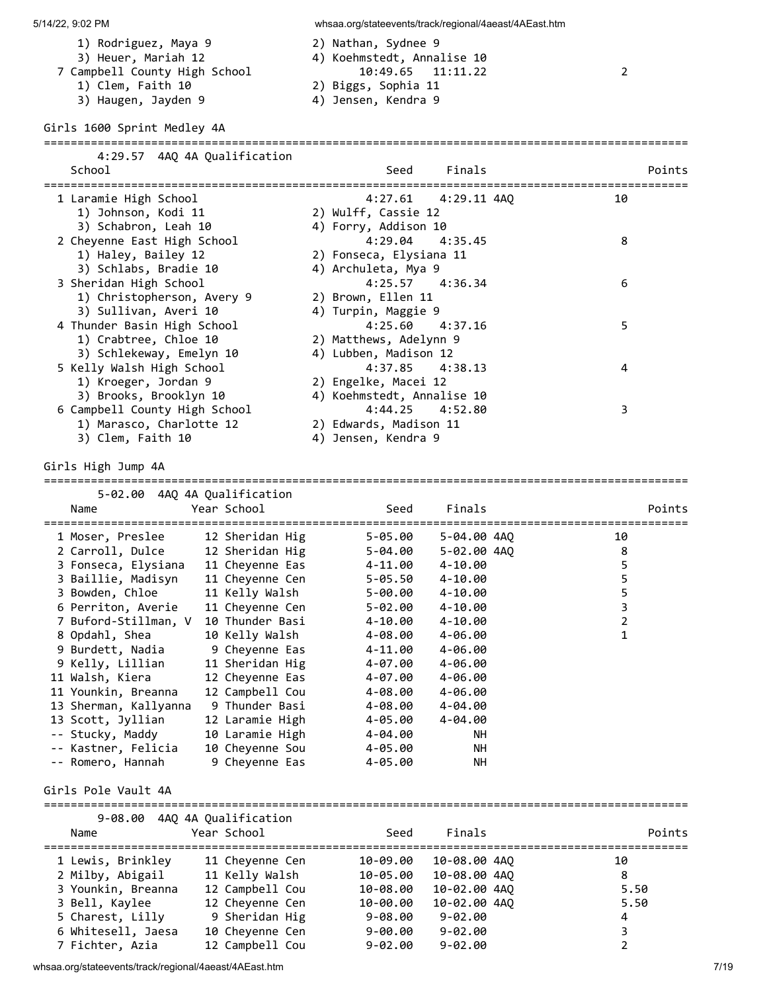- 
- 
- -
	- 3) Haugen, Jayden 9 (4) Jensen, Kendra 9

#### Girls 1600 Sprint Medley 4A

| 4:29.57 4AQ 4A Qualification<br>School                                           | Finals<br>Seed                                                           | Points |
|----------------------------------------------------------------------------------|--------------------------------------------------------------------------|--------|
| 1 Laramie High School<br>1) Johnson, Kodi 11<br>3) Schabron, Leah 10             | $4:27.61$ $4:29.11$ $4AO$<br>2) Wulff, Cassie 12<br>4) Forry, Addison 10 | 10     |
| 2 Cheyenne East High School<br>1) Haley, Bailey 12<br>3) Schlabs, Bradie 10      | $4:29.04$ $4:35.45$<br>2) Fonseca, Elysiana 11<br>4) Archuleta, Mya 9    | 8      |
| 3 Sheridan High School<br>1) Christopherson, Avery 9<br>3) Sullivan, Averi 10    | $4:25.57$ $4:36.34$<br>2) Brown, Ellen 11<br>4) Turpin, Maggie 9         | 6      |
| 4 Thunder Basin High School<br>1) Crabtree, Chloe 10<br>3) Schlekeway, Emelyn 10 | $4:25.60$ $4:37.16$<br>2) Matthews, Adelynn 9<br>4) Lubben, Madison 12   | 5      |
| 5 Kelly Walsh High School<br>1) Kroeger, Jordan 9                                | $4:37.85$ $4:38.13$<br>2) Engelke, Macei 12                              | 4      |

 3) Brooks, Brooklyn 10 4) Koehmstedt, Annalise 10 6 Campbell County High School 4:44.25 4:52.80 3 1) Marasco, Charlotte 12 2) Edwards, Madison 11 3) Clem, Faith 10 4) Jensen, Kendra 9

### Girls High Jump 4A

# 5-02.00 4AQ 4A Qualification Name **Seed** Finals Points Points ================================================================================================ 1 Moser, Preslee 12 Sheridan Hig 5-05.00 5-04.00 4AQ 10 2 Carroll, Dulce 12 Sheridan Hig 5-04.00 5-02.00 4AQ 8 3 Fonseca, Elysiana 11 Cheyenne Eas 4-11.00 4-10.00 5 3 Baillie, Madisyn 11 Cheyenne Cen 5-05.50 4-10.00 5 3 Bowden, Chloe 11 Kelly Walsh 5-00.00 4-10.00 5 6 Perriton, Averie 11 Cheyenne Cen 5-02.00 4-10.00 3 7 Buford-Stillman, V 10 Thunder Basi 4-10.00 4-10.00 2 8 Opdahl, Shea 10 Kelly Walsh 4-08.00 4-06.00 1 9 Burdett, Nadia 9 Cheyenne Eas 4-11.00 4-06.00 9 Kelly, Lillian 11 Sheridan Hig 4-07.00 4-06.00 11 Walsh, Kiera 12 Cheyenne Eas 4-07.00 4-06.00 11 Younkin, Breanna 12 Campbell Cou 4-08.00 4-06.00 13 Sherman, Kallyanna 9 Thunder Basi 4-08.00 4-04.00 13 Scott, Jyllian 12 Laramie High 4-05.00 4-04.00 -- Stucky, Maddy 10 Laramie High 4-04.00 NH -- Kastner, Felicia 10 Cheyenne Sou 4-05.00 NH -- Romero, Hannah 9 Cheyenne Eas 4-05.00 NH

================================================================================================

### Girls Pole Vault 4A

| Name               | 9-08.00 4AQ 4A Qualification<br>Year School | Seed        | Finals       | Points        |
|--------------------|---------------------------------------------|-------------|--------------|---------------|
| 1 Lewis, Brinkley  | 11 Cheyenne Cen                             | 10-09.00    | 10-08.00 4AO | 10            |
| 2 Milby, Abigail   | 11 Kelly Walsh                              | 10-05.00    | 10-08.00 4AO | 8             |
| 3 Younkin, Breanna | 12 Campbell Cou                             | 10-08.00    | 10-02.00 4AO | 5.50          |
| 3 Bell, Kaylee     | 12 Cheyenne Cen                             | 10-00.00    | 10-02.00 4AO | 5.50          |
| 5 Charest, Lilly   | 9 Sheridan Hig                              | $9 - 08.00$ | $9 - 02.00$  | 4             |
| 6 Whitesell, Jaesa | 10 Cheyenne Cen                             | $9 - 00.00$ | $9 - 02.00$  | 3             |
| 7 Fichter, Azia    | 12 Campbell Cou                             | $9 - 02.00$ | $9 - 02.00$  | $\mathcal{P}$ |

- 1) Rodriguez, Maya 9 2) Nathan, Sydnee 9 3) Heuer, Mariah 12 (2014) Koehmstedt, Annalise 10<br>21.11.22 (29.65) ampbell County High School 7 Campbell County High School 10:49.65 11:11.22 2 1) Clem, Faith 10 2) Biggs, Sophia 11
	-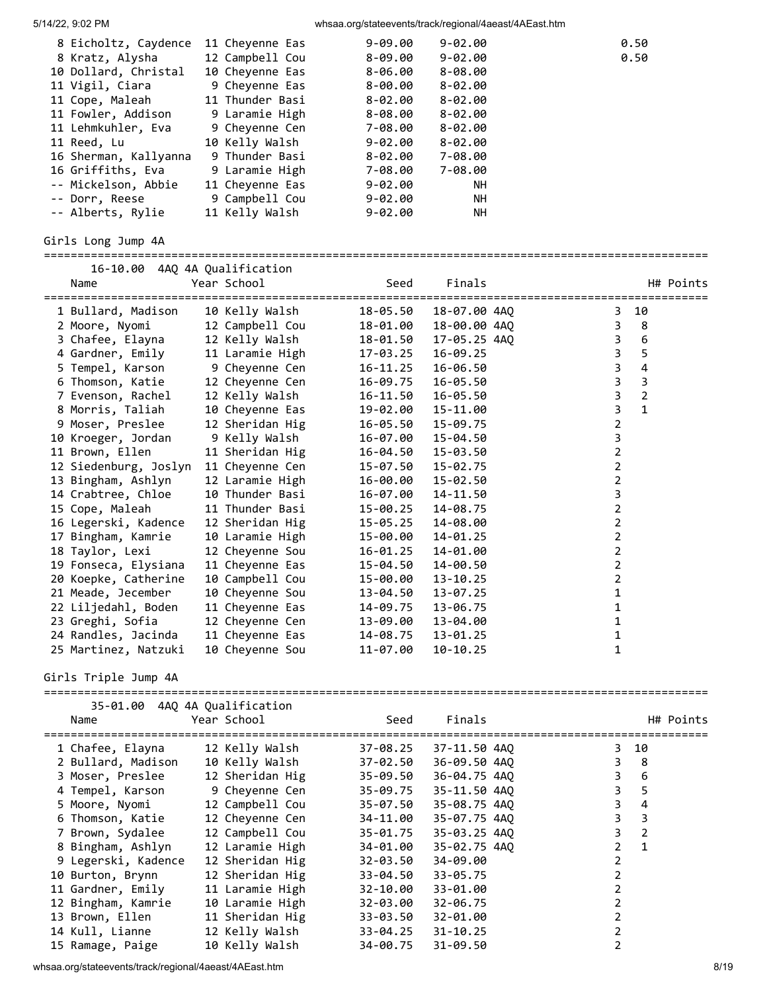| 5/14/22, 9:02 PM                        |                                    |                          | whsaa.org/stateevents/track/regional/4aeast/4AEast.htm |                                           |
|-----------------------------------------|------------------------------------|--------------------------|--------------------------------------------------------|-------------------------------------------|
| 8 Eicholtz, Caydence                    | 11 Cheyenne Eas                    | $9 - 09.00$              | $9 - 02.00$                                            | 0.50                                      |
| 8 Kratz, Alysha                         | 12 Campbell Cou                    | $8 - 09.00$              | $9 - 02.00$                                            | 0.50                                      |
| 10 Dollard, Christal                    | 10 Cheyenne Eas                    | 8-06.00                  | $8 - 08.00$                                            |                                           |
| 11 Vigil, Ciara                         | 9 Cheyenne Eas                     | 8-00.00                  | $8 - 02.00$                                            |                                           |
| 11 Cope, Maleah                         | 11 Thunder Basi                    | 8-02.00                  | $8 - 02.00$                                            |                                           |
| 11 Fowler, Addison                      | 9 Laramie High                     | $8 - 08.00$              | $8 - 02.00$                                            |                                           |
| 11 Lehmkuhler, Eva                      | 9 Cheyenne Cen                     | 7-08.00                  | $8 - 02.00$                                            |                                           |
| 11 Reed, Lu                             | 10 Kelly Walsh                     | $9 - 02.00$              | $8 - 02.00$                                            |                                           |
| 16 Sherman, Kallyanna                   | 9 Thunder Basi                     | 8-02.00                  | 7-08.00                                                |                                           |
| 16 Griffiths, Eva                       | 9 Laramie High                     | 7-08.00                  | 7-08.00                                                |                                           |
| -- Mickelson, Abbie                     | 11 Cheyenne Eas                    | 9-02.00                  | <b>NH</b>                                              |                                           |
| -- Dorr, Reese                          | 9 Campbell Cou                     | $9 - 02.00$              | NH                                                     |                                           |
| -- Alberts, Rylie                       | 11 Kelly Walsh                     | $9 - 02.00$              | <b>NH</b>                                              |                                           |
| Girls Long Jump 4A                      |                                    |                          |                                                        |                                           |
| 16-10.00 4AQ 4A Qualification           |                                    |                          |                                                        |                                           |
| Name                                    | Year School                        | Seed                     | Finals                                                 | H# Points                                 |
| 1 Bullard, Madison                      | 10 Kelly Walsh                     | 18-05.50                 | 18-07.00 4AQ                                           | 10<br>3                                   |
| 2 Moore, Nyomi                          | 12 Campbell Cou                    | 18-01.00                 | 18-00.00 4AQ                                           | 3<br>8                                    |
| 3 Chafee, Elayna                        | 12 Kelly Walsh                     | 18-01.50                 | 17-05.25 4AQ                                           | 3<br>6                                    |
| 4 Gardner, Emily                        | 11 Laramie High                    | 17-03.25                 | 16-09.25                                               | 5<br>3                                    |
| 5 Tempel, Karson                        | 9 Cheyenne Cen                     | 16-11.25                 | 16-06.50                                               | $\mathbf{3}$<br>4                         |
| 6 Thomson, Katie                        | 12 Cheyenne Cen                    | 16-09.75                 | 16-05.50                                               | 3<br>$\overline{3}$                       |
| 7 Evenson, Rachel                       | 12 Kelly Walsh                     | 16-11.50                 | 16-05.50                                               | $\overline{2}$<br>$\mathbf{3}$            |
| 8 Morris, Taliah                        | 10 Cheyenne Eas                    | 19-02.00                 | 15-11.00                                               | $\mathbf{3}$<br>$\mathbf{1}$              |
| 9 Moser, Preslee                        | 12 Sheridan Hig                    | 16-05.50                 | 15-09.75                                               | $\overline{2}$                            |
| 10 Kroeger, Jordan                      | 9 Kelly Walsh                      | 16-07.00                 | 15-04.50                                               | 3                                         |
| 11 Brown, Ellen                         | 11 Sheridan Hig                    | 16-04.50                 | 15-03.50                                               | $\overline{2}$                            |
| 12 Siedenburg, Joslyn                   | 11 Cheyenne Cen                    | 15-07.50                 | 15-02.75                                               | $\overline{2}$                            |
| 13 Bingham, Ashlyn                      | 12 Laramie High                    | 16-00.00                 | 15-02.50                                               | $\overline{2}$                            |
| 14 Crabtree, Chloe                      | 10 Thunder Basi                    | 16-07.00                 | 14-11.50                                               | $\mathbf{3}$                              |
| 15 Cope, Maleah                         | 11 Thunder Basi                    | 15-00.25                 | 14-08.75                                               | $\overline{2}$                            |
| 16 Legerski, Kadence                    | 12 Sheridan Hig                    | 15-05.25                 | 14-08.00                                               | $\overline{2}$                            |
| 17 Bingham, Kamrie                      | 10 Laramie High                    | 15-00.00<br>$16 - 01.25$ | 14-01.25                                               | $\overline{2}$                            |
| 18 Taylor, Lexi<br>19 Fonseca, Elysiana | 12 Cheyenne Sou<br>11 Cheyenne Eas | 15-04.50                 | 14-01.00<br>14-00.50                                   | $\overline{\mathbf{c}}$<br>$\overline{2}$ |
| 20 Koepke, Catherine                    | 10 Campbell Cou                    | 15-00.00                 | $13 - 10.25$                                           | $\overline{2}$                            |
| 21 Meade, Jecember                      | 10 Cheyenne Sou                    | 13-04.50                 | 13-07.25                                               | 1                                         |
| 22 Liljedahl, Boden                     | 11 Cheyenne Eas                    | 14-09.75                 | 13-06.75                                               | $\mathbf{1}$                              |
| 23 Greghi, Sofia                        | 12 Cheyenne Cen                    | 13-09.00                 | 13-04.00                                               | 1                                         |
| 24 Randles, Jacinda                     | 11 Cheyenne Eas                    | 14-08.75                 | 13-01.25                                               | $\mathbf{1}$                              |
| 25 Martinez, Natzuki                    | 10 Cheyenne Sou                    | 11-07.00                 | 10-10.25                                               | 1                                         |
| Girls Triple Jump 4A                    |                                    |                          |                                                        |                                           |
|                                         |                                    |                          |                                                        |                                           |
| 35-01.00 4AQ 4A Qualification<br>Name   | Year School                        | Seed                     | Finals                                                 | H# Points                                 |
| 1 Chafee, Elayna                        | 12 Kelly Walsh                     | 37-08.25                 | 37-11.50 4AQ                                           | 3 10                                      |
| 2 Bullard, Madison                      | 10 Kelly Walsh                     | 37-02.50                 | 36-09.50 4AQ                                           | $\mathbf{3}$<br>8                         |
| 3 Moser, Preslee                        | 12 Sheridan Hig                    | 35-09.50                 | 36-04.75 4AQ                                           | 3<br>6                                    |
| 4 Tempel, Karson                        | 9 Cheyenne Cen                     | 35-09.75                 | 35-11.50 4AQ                                           | 3<br>5                                    |
| 5 Moore, Nyomi                          | 12 Campbell Cou                    | 35-07.50                 | 35-08.75 4AQ                                           | 4<br>3                                    |
| 6 Thomson, Katie                        | 12 Cheyenne Cen                    | 34-11.00                 | 35-07.75 4AQ                                           | 3<br>3                                    |
| 7 Brown, Sydalee                        | 12 Campbell Cou                    | 35-01.75                 | 35-03.25 4AQ                                           | $\mathbf 2$<br>3                          |
| 8 Bingham, Ashlyn                       | 12 Laramie High                    | 34-01.00                 | 35-02.75 4AQ                                           | $\overline{2}$<br>$\mathbf{1}$            |
| 9 Legerski, Kadence                     | 12 Sheridan Hig                    | 32-03.50                 | 34-09.00                                               | $\overline{2}$                            |
| 10 Burton, Brynn                        | 12 Sheridan Hig                    | 33-04.50                 | 33-05.75                                               | $\overline{2}$                            |
| 11 Gardner, Emily                       | 11 Laramie High                    | 32-10.00                 | 33-01.00                                               | $\overline{2}$                            |
| 12 Bingham, Kamrie                      | 10 Laramie High                    | 32-03.00                 | 32-06.75                                               | $\overline{2}$                            |
| 13 Brown, Ellen                         | 11 Sheridan Hig                    | 33-03.50                 | 32-01.00                                               | $\overline{2}$                            |
| 14 Kull, Lianne                         | 12 Kelly Walsh                     | 33-04.25                 | 31-10.25                                               | $\overline{2}$                            |
| 15 Ramage, Paige                        | 10 Kelly Walsh                     | 34-00.75                 | 31-09.50                                               | $\overline{2}$                            |

whsaa.org/stateevents/track/regional/4aeast/4AEast.htm 8/19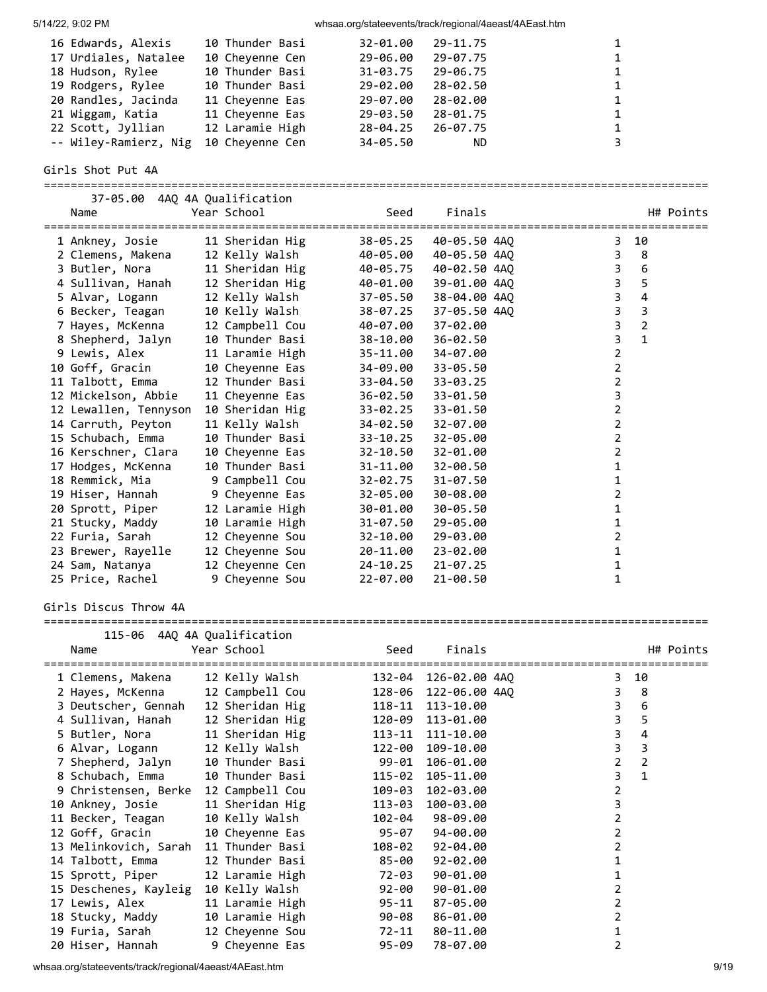|  | 5/14/22, 9:02 PM |  |
|--|------------------|--|

whsaa.org/stateevents/track/regional/4aeast/4AEast.htm

| 16 Edwards, Alexis    | 10 Thunder Basi | 32-01.00     | 29-11.75  | $\mathbf{1}$ |
|-----------------------|-----------------|--------------|-----------|--------------|
| 17 Urdiales, Natalee  | 10 Cheyenne Cen | 29-06.00     | 29-07.75  | $\mathbf{1}$ |
| 18 Hudson, Rylee      | 10 Thunder Basi | $31 - 03.75$ | 29-06.75  | $\mathbf{1}$ |
| 19 Rodgers, Rylee     | 10 Thunder Basi | 29-02.00     | 28-02.50  | 1            |
| 20 Randles, Jacinda   | 11 Chevenne Eas | 29-07.00     | 28-02.00  | $\mathbf{1}$ |
| 21 Wiggam, Katia      | 11 Cheyenne Eas | 29-03.50     | 28-01.75  | 1            |
| 22 Scott, Jyllian     | 12 Laramie High | 28-04.25     | 26-07.75  | $\mathbf{1}$ |
| -- Wiley-Ramierz, Nig | 10 Chevenne Cen | 34-05.50     | <b>ND</b> | 3            |

Girls Shot Put 4A ===================================================================================================

| 37-05.00 4AQ 4A Qualification<br>Name | Year School              | Seed     | Finals       | H# Points               |
|---------------------------------------|--------------------------|----------|--------------|-------------------------|
|                                       |                          |          |              |                         |
| 1 Ankney, Josie                       | 11 Sheridan Hig          | 38-05.25 | 40-05.50 4AO | 10<br>3                 |
| 2 Clemens, Makena                     | 12 Kelly Walsh           | 40-05.00 | 40-05.50 4AO | 3<br>8                  |
| 3 Butler, Nora                        | 11 Sheridan Hig 40-05.75 |          | 40-02.50 4AO | 3<br>6                  |
| 4 Sullivan, Hanah                     | 12 Sheridan Hig          | 40-01.00 | 39-01.00 4AO | 3<br>5                  |
| 5 Alvar, Logann                       | 12 Kelly Walsh           | 37-05.50 | 38-04.00 4AO | $\overline{3}$<br>4     |
| 6 Becker, Teagan                      | 10 Kelly Walsh           | 38-07.25 | 37-05.50 4AQ | $\overline{3}$<br>3     |
| 7 Hayes, McKenna                      | 12 Campbell Cou          | 40-07.00 | 37-02.00     | 3<br>$\overline{2}$     |
| 8 Shepherd, Jalyn                     | 10 Thunder Basi          | 38-10.00 | 36-02.50     | 3<br>$\mathbf{1}$       |
| 9 Lewis, Alex                         | 11 Laramie High          | 35-11.00 | 34-07.00     | $\overline{2}$          |
| 10 Goff, Gracin                       | 10 Cheyenne Eas          | 34-09.00 | 33-05.50     | $\overline{\mathbf{c}}$ |
| 11 Talbott, Emma                      | 12 Thunder Basi          | 33-04.50 | $33 - 03.25$ | $\overline{2}$          |
| 12 Mickelson, Abbie                   | 11 Cheyenne Eas          | 36-02.50 | 33-01.50     | 3                       |
| 12 Lewallen, Tennyson                 | 10 Sheridan Hig          | 33-02.25 | 33-01.50     | $\overline{\mathbf{c}}$ |
| 14 Carruth, Peyton                    | 11 Kelly Walsh           | 34-02.50 | 32-07.00     | $\overline{2}$          |
| 15 Schubach, Emma                     | 10 Thunder Basi          | 33-10.25 | 32-05.00     | $\overline{2}$          |
| 16 Kerschner, Clara                   | 10 Cheyenne Eas          | 32-10.50 | 32-01.00     | 2                       |
| 17 Hodges, McKenna                    | 10 Thunder Basi          | 31-11.00 | $32 - 00.50$ | 1                       |
| 18 Remmick, Mia                       | 9 Campbell Cou           | 32-02.75 | 31-07.50     | 1                       |
| 19 Hiser, Hannah                      | 9 Cheyenne Eas           | 32-05.00 | 30-08.00     | 2                       |
| 20 Sprott, Piper                      | 12 Laramie High          | 30-01.00 | 30-05.50     | 1                       |
| 21 Stucky, Maddy                      | 10 Laramie High          | 31-07.50 | 29-05.00     | 1                       |
| 22 Furia, Sarah                       | 12 Cheyenne Sou          | 32-10.00 | 29-03.00     | 2                       |
| 23 Brewer, Rayelle                    | 12 Cheyenne Sou          | 20-11.00 | 23-02.00     | 1                       |
| 24 Sam, Natanya                       | 12 Cheyenne Cen          | 24-10.25 | 21-07.25     | 1                       |
| 25 Price, Rachel                      | 9 Cheyenne Sou           | 22-07.00 | 21-00.50     | 1                       |

Girls Discus Throw 4A

| Name                  | 115-06 4AQ 4A Qualification<br>Year School                    | Seed<br>=================== | Finals          | H# Points<br>=================== |
|-----------------------|---------------------------------------------------------------|-----------------------------|-----------------|----------------------------------|
| 1 Clemens, Makena     | 12 Kelly Walsh                         132-04   126-02.00 4AQ |                             |                 | $3 10$                           |
|                       |                                                               |                             |                 | $3 \quad 8$                      |
| 3 Deutscher, Gennah   | 12 Sheridan Hig 118-11 113-10.00                              |                             |                 | $\overline{3}$<br>6              |
| 4 Sullivan, Hanah     | 12 Sheridan Hig 120-09 113-01.00                              |                             |                 | $\overline{3}$<br>5              |
| 5 Butler, Nora        | 11 Sheridan Hig                                               | 113-11                      | 111-10.00       | 3<br>4                           |
| 6 Alvar, Logann       | 12 Kelly Walsh                                                | 122-00                      | 109-10.00       | 3<br>3                           |
| 7 Shepherd, Jalyn     | 10 Thunder Basi                                               | 99-01                       | 106-01.00       | $\overline{2}$<br>$\overline{2}$ |
| 8 Schubach, Emma      | 10 Thunder Basi                                               | 115-02                      | 105-11.00       | 3<br>$\mathbf{1}$                |
| 9 Christensen, Berke  | 12 Campbell Cou                                               | 109-03                      | 102-03.00       | $\overline{2}$                   |
| 10 Ankney, Josie      | 11 Sheridan Hig                                               | 113-03                      | 100-03.00       | 3                                |
| 11 Becker, Teagan     | 10 Kelly Walsh                                                |                             | 102-04 98-09.00 | $\overline{2}$                   |
| 12 Goff, Gracin       | 10 Cheyenne Eas                                               | 95-07                       | 94-00.00        | 2                                |
| 13 Melinkovich, Sarah | 11 Thunder Basi                                               | 108-02                      | 92-04.00        | 2                                |
| 14 Talbott, Emma      | 12 Thunder Basi                                               | 85-00                       | 92-02.00        |                                  |
| 15 Sprott, Piper      | 12 Laramie High                                               | 72-03                       | 90-01.00        |                                  |
| 15 Deschenes, Kayleig | 10 Kelly Walsh                                                | 92-00                       | 90-01.00        | 2                                |
| 17 Lewis, Alex        | 11 Laramie High                                               | 95-11                       | 87-05.00        | 2                                |
| 18 Stucky, Maddy      | 10 Laramie High 90-08                                         |                             | 86-01.00        | $\overline{2}$                   |
| 19 Furia, Sarah       | 12 Cheyenne Sou 72-11                                         |                             | 80-11.00        |                                  |
| 20 Hiser, Hannah      | 9 Cheyenne Eas                                                | 95-09                       | 78-07.00        |                                  |

whsaa.org/stateevents/track/regional/4aeast/4AEast.htm 9/19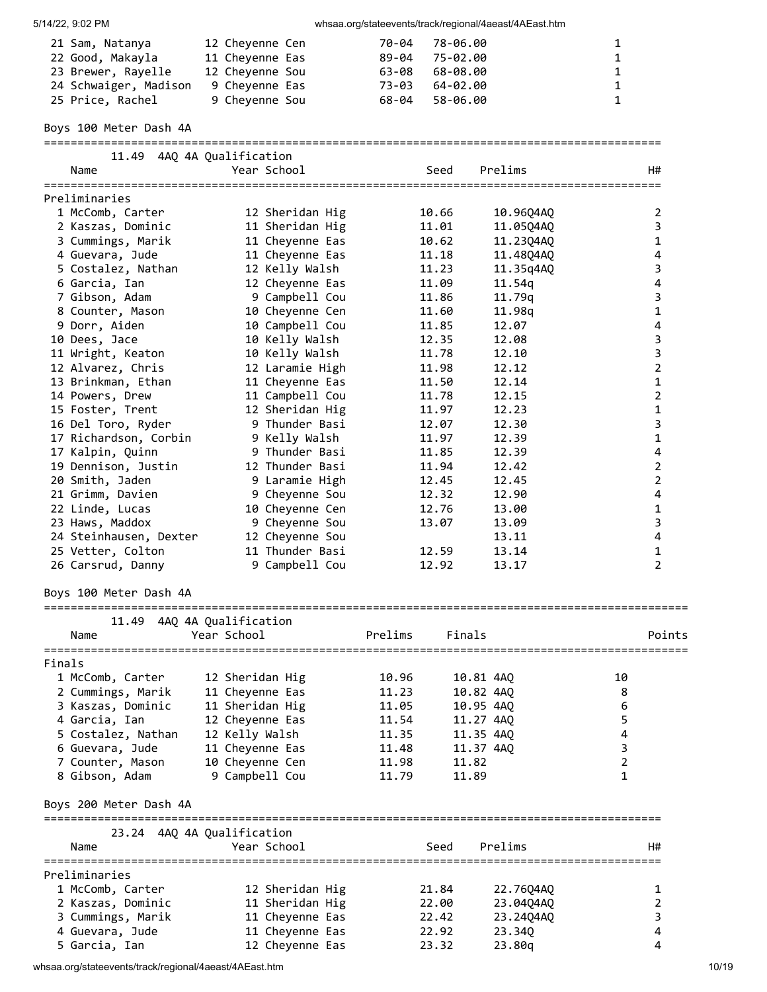| 5/14/22, 9:02 PM |  |
|------------------|--|

| 21 Sam, Natanya       | 12 Cheyenne Cen | 70-04 78-06.00         | $\mathbf{1}$ |
|-----------------------|-----------------|------------------------|--------------|
| 22 Good, Makayla      | 11 Chevenne Eas | 89-04 75-02.00         | $\mathbf{1}$ |
| 23 Brewer, Rayelle    | 12 Chevenne Sou | $63 - 08$ $68 - 08.00$ | $\mathbf{1}$ |
| 24 Schwaiger, Madison | 9 Chevenne Eas  | 64-02.00<br>73-03      | $\mathbf{1}$ |
| 25 Price, Rachel      | 9 Cheyenne Sou  | 68-04 58-06.00         | $\mathbf{1}$ |

Boys 100 Meter Dash 4A

| 11.49<br>Name                      | 4AQ 4A Qualification<br>Year School | Seed                             | ==================================<br>Prelims | H#               |
|------------------------------------|-------------------------------------|----------------------------------|-----------------------------------------------|------------------|
| =================<br>Preliminaries |                                     |                                  |                                               |                  |
| 1 McComb, Carter                   | 12 Sheridan Hig                     | 10.66                            | 10.96Q4AQ                                     | 2                |
| 2 Kaszas, Dominic                  | 11 Sheridan Hig                     | 11.01                            | 11.05Q4AQ                                     | 3                |
| 3 Cummings, Marik                  | 11 Cheyenne Eas                     | 10.62                            | 11.23Q4AQ                                     | 1                |
| 4 Guevara, Jude                    | 11 Cheyenne Eas                     | 11.18                            | 11.48Q4AQ                                     | 4                |
| 5 Costalez, Nathan                 | 12 Kelly Walsh                      | 11.23                            | 11.35q4AQ                                     | 3                |
| 6 Garcia, Ian                      | 12 Cheyenne Eas                     | 11.09                            | 11.54q                                        | 4                |
| 7 Gibson, Adam                     | 9 Campbell Cou                      | 11.86                            | 11.79q                                        | 3                |
| 8 Counter, Mason                   | 10 Cheyenne Cen                     | 11.60                            | 11.98q                                        | $\mathbf{1}$     |
| 9 Dorr, Aiden                      | 10 Campbell Cou                     | 11.85                            | 12.07                                         | 4                |
| 10 Dees, Jace                      | 10 Kelly Walsh                      | 12.35                            | 12.08                                         | 3                |
| 11 Wright, Keaton                  | 10 Kelly Walsh                      | 11.78                            | 12.10                                         | 3                |
| 12 Alvarez, Chris                  | 12 Laramie High                     | 11.98                            | 12.12                                         | $\overline{2}$   |
|                                    |                                     | 11.50                            | 12.14                                         | 1                |
| 13 Brinkman, Ethan                 | 11 Cheyenne Eas<br>11 Campbell Cou  | 11.78                            | 12.15                                         | $\overline{2}$   |
| 14 Powers, Drew                    | 12 Sheridan Hig                     |                                  |                                               |                  |
| 15 Foster, Trent                   | 9 Thunder Basi                      | 11.97                            | 12.23<br>12.30                                | $\mathbf 1$<br>3 |
| 16 Del Toro, Ryder                 |                                     | 12.07                            |                                               |                  |
| 17 Richardson, Corbin              | 9 Kelly Walsh                       | 11.97                            | 12.39                                         | $\mathbf{1}$     |
| 17 Kalpin, Quinn                   | 9 Thunder Basi                      | 11.85                            | 12.39                                         | 4                |
| 19 Dennison, Justin                | 12 Thunder Basi                     | 11.94                            | 12.42                                         | $\overline{2}$   |
| 20 Smith, Jaden                    | 9 Laramie High                      | 12.45                            | 12.45                                         | $\overline{2}$   |
| 21 Grimm, Davien                   | 9 Cheyenne Sou                      | 12.32                            | 12.90                                         | 4                |
| 22 Linde, Lucas                    | 10 Cheyenne Cen                     | 12.76                            | 13.00                                         | 1                |
| 23 Haws, Maddox                    | 9 Cheyenne Sou                      | 13.07                            | 13.09                                         | 3                |
| 24 Steinhausen, Dexter             | 12 Cheyenne Sou                     |                                  | 13.11                                         | $\overline{4}$   |
| 25 Vetter, Colton                  | 11 Thunder Basi                     | 12.59                            | 13.14                                         | $\mathbf{1}$     |
| 26 Carsrud, Danny                  | 9 Campbell Cou                      | 12.92                            | 13.17                                         | $\overline{2}$   |
| Boys 100 Meter Dash 4A             | ================                    |                                  |                                               |                  |
| 11.49                              | 4AQ 4A Qualification                |                                  |                                               |                  |
| Name                               | Year School                         | Prelims<br>Finals                |                                               | Points           |
| Finals                             |                                     |                                  |                                               |                  |
| 1 McComb, Carter                   | 12 Sheridan Hig                     | 10.96<br>10.81 4AQ               |                                               | 10               |
| 2 Cummings, Marik                  | 11 Cheyenne Eas                     | 11.23<br>10.82 4AO               |                                               | 8                |
| 3 Kaszas, Dominic                  | 11 Sheridan Hig                     | 11.05<br>10.95 4AQ               |                                               | 6                |
| 4 Garcia, Ian                      | 12 Cheyenne Eas                     | 11.54<br>11.27 4AQ               |                                               | 5                |
| 5 Costalez, Nathan                 | 12 Kelly Walsh                      | 11.35<br>11.35 4AQ               |                                               | 4                |
|                                    |                                     |                                  |                                               | 3                |
| 6 Guevara, Jude                    | 11 Cheyenne Eas                     | 11.48<br>11.37 4AQ               |                                               | $\overline{2}$   |
| 7 Counter, Mason<br>8 Gibson, Adam | 10 Cheyenne Cen<br>9 Campbell Cou   | 11.98<br>11.82<br>11.79<br>11.89 |                                               | 1                |
| Boys 200 Meter Dash 4A             |                                     |                                  |                                               |                  |
|                                    | 23.24 4AQ 4A Qualification          |                                  |                                               |                  |
| Name                               | Year School                         | Seed                             | Prelims                                       | H#               |
| Preliminaries                      |                                     |                                  |                                               |                  |
| 1 McComb, Carter                   | 12 Sheridan Hig                     | 21.84                            | 22.76Q4AQ                                     | 1                |
| 2 Kaszas, Dominic                  | 11 Sheridan Hig                     | 22.00                            | 23.04Q4AQ                                     | 2                |
| 3 Cummings, Marik                  | 11 Cheyenne Eas                     | 22.42                            | 23.24Q4AQ                                     | 3                |
| 4 Guevara, Jude                    | 11 Cheyenne Eas                     | 22.92                            | 23.34Q                                        | 4                |
| 5 Garcia, Ian                      | 12 Cheyenne Eas                     | 23.32                            | 23.80q                                        | 4                |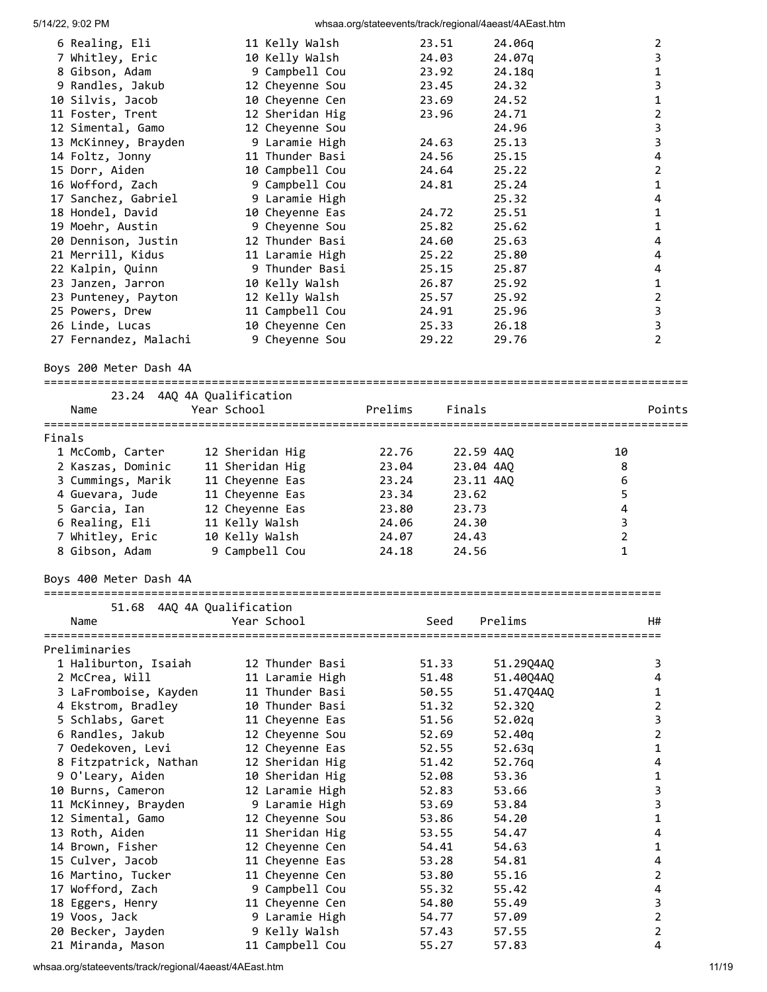|        | 6 Realing, Eli                     | 11 Kelly Walsh                                     |         | 23.51     | 24.06q         |                | $\overline{2}$                            |
|--------|------------------------------------|----------------------------------------------------|---------|-----------|----------------|----------------|-------------------------------------------|
|        | 7 Whitley, Eric                    | 10 Kelly Walsh                                     |         | 24.03     | 24.07q         |                | $\mathsf{3}$                              |
|        | 8 Gibson, Adam                     | 9 Campbell Cou                                     |         | 23.92     | 24.18q         |                | $\mathbf{1}$                              |
|        | 9 Randles, Jakub                   | 12 Cheyenne Sou                                    |         | 23.45     | 24.32          |                | 3                                         |
|        | 10 Silvis, Jacob                   | 10 Cheyenne Cen                                    |         | 23.69     | 24.52          |                | $\mathbf{1}$                              |
|        | 11 Foster, Trent                   | 12 Sheridan Hig                                    |         | 23.96     | 24.71          |                | $\overline{2}$                            |
|        | 12 Simental, Gamo                  | 12 Cheyenne Sou                                    |         |           | 24.96          |                | 3                                         |
|        | 13 McKinney, Brayden               | 9 Laramie High                                     |         | 24.63     | 25.13          |                | $\overline{\mathbf{3}}$                   |
|        | 14 Foltz, Jonny                    | 11 Thunder Basi                                    |         | 24.56     | 25.15          |                | $\overline{\mathbf{4}}$<br>$\overline{2}$ |
|        | 15 Dorr, Aiden<br>16 Wofford, Zach | 10 Campbell Cou<br>9 Campbell Cou                  |         | 24.64     | 25.22<br>25.24 |                | $\mathbf 1$                               |
|        | 17 Sanchez, Gabriel                |                                                    |         | 24.81     | 25.32          |                | 4                                         |
|        | 18 Hondel, David                   | 9 Laramie High<br>10 Cheyenne Eas                  |         | 24.72     | 25.51          |                | $\mathbf{1}$                              |
|        | 19 Moehr, Austin                   | 9 Cheyenne Sou                                     |         | 25.82     | 25.62          |                | $\mathbf{1}$                              |
|        | 20 Dennison, Justin                | 12 Thunder Basi                                    |         | 24.60     | 25.63          |                | 4                                         |
|        | 21 Merrill, Kidus                  | 11 Laramie High                                    |         | 25.22     | 25.80          |                | 4                                         |
|        | 22 Kalpin, Quinn                   | 9 Thunder Basi                                     |         | 25.15     | 25.87          |                | 4                                         |
|        | 23 Janzen, Jarron                  | 10 Kelly Walsh                                     |         | 26.87     | 25.92          |                | $\mathbf 1$                               |
|        | 23 Punteney, Payton                | 12 Kelly Walsh                                     |         | 25.57     | 25.92          |                | $\overline{2}$                            |
|        | 25 Powers, Drew                    | 11 Campbell Cou                                    |         | 24.91     | 25.96          |                | 3                                         |
|        | 26 Linde, Lucas                    | 10 Cheyenne Cen                                    |         | 25.33     | 26.18          |                | 3                                         |
|        | 27 Fernandez, Malachi              | 9 Cheyenne Sou                                     |         | 29.22     | 29.76          |                | $\overline{2}$                            |
|        |                                    |                                                    |         |           |                |                |                                           |
|        | Boys 200 Meter Dash 4A             |                                                    |         |           |                |                |                                           |
|        |                                    | 23.24 4AQ 4A Qualification                         |         |           |                |                |                                           |
|        | Name                               | Year School                                        | Prelims | Finals    |                |                | Points                                    |
|        |                                    |                                                    |         |           |                |                |                                           |
| Finals |                                    |                                                    |         |           |                |                |                                           |
|        | 1 McComb, Carter                   | 12 Sheridan Hig                                    | 22.76   | 22.59 4AQ |                | 10             |                                           |
|        | 2 Kaszas, Dominic                  | 11 Sheridan Hig                                    | 23.04   | 23.04 4AQ |                | 8              |                                           |
|        | 3 Cummings, Marik                  | 11 Cheyenne Eas                                    | 23.24   | 23.11 4AQ |                | 6              |                                           |
|        | 4 Guevara, Jude                    | 11 Cheyenne Eas                                    | 23.34   | 23.62     |                | 5              |                                           |
|        | 5 Garcia, Ian                      | 12 Cheyenne Eas                                    | 23.80   | 23.73     |                | $\pmb{4}$      |                                           |
|        | 6 Realing, Eli                     | 11 Kelly Walsh                                     | 24.06   | 24.30     |                | 3              |                                           |
|        | 7 Whitley, Eric                    | 10 Kelly Walsh                                     | 24.07   | 24.43     |                | $\overline{2}$ |                                           |
|        | 8 Gibson, Adam                     | 9 Campbell Cou                                     | 24.18   | 24.56     |                | 1              |                                           |
|        | Boys 400 Meter Dash 4A             |                                                    |         |           |                |                |                                           |
|        |                                    | ====================<br>51.68 4AQ 4A Qualification |         |           |                |                |                                           |
|        | Name                               | Year School                                        |         | Seed      | Prelims        |                | H#                                        |
|        |                                    |                                                    |         |           |                |                |                                           |
|        | Preliminaries                      |                                                    |         |           |                |                |                                           |
|        | 1 Haliburton, Isaiah               | 12 Thunder Basi                                    |         | 51.33     | 51.29Q4AQ      |                | 3                                         |
|        | 2 McCrea, Will                     | 11 Laramie High                                    |         | 51.48     | 51.40Q4AQ      |                | 4                                         |
|        | 3 LaFromboise, Kayden              | 11 Thunder Basi                                    |         | 50.55     | 51.47Q4AQ      |                | 1                                         |
|        | 4 Ekstrom, Bradley                 | 10 Thunder Basi                                    |         | 51.32     | 52.32Q         |                | $\overline{2}$                            |
|        | 5 Schlabs, Garet                   | 11 Cheyenne Eas                                    |         | 51.56     | 52.02q         |                | $\overline{\mathbf{3}}$                   |
|        | 6 Randles, Jakub                   | 12 Cheyenne Sou                                    |         | 52.69     | 52.40q         |                | $\overline{2}$                            |
|        | 7 Oedekoven, Levi                  | 12 Cheyenne Eas                                    |         | 52.55     | 52.63q         |                | $\mathbf{1}$                              |
|        | 8 Fitzpatrick, Nathan              | 12 Sheridan Hig                                    |         | 51.42     | 52.76q         |                | 4                                         |
|        | 9 O'Leary, Aiden                   | 10 Sheridan Hig                                    |         | 52.08     | 53.36          |                | 1                                         |
|        | 10 Burns, Cameron                  | 12 Laramie High                                    |         | 52.83     | 53.66          |                | 3                                         |
|        | 11 McKinney, Brayden               | 9 Laramie High                                     |         | 53.69     | 53.84          |                | 3                                         |
|        | 12 Simental, Gamo                  | 12 Cheyenne Sou                                    |         | 53.86     | 54.20          |                | $\mathbf{1}$                              |
|        | 13 Roth, Aiden                     | 11 Sheridan Hig                                    |         | 53.55     | 54.47          |                | $\overline{4}$                            |
|        | 14 Brown, Fisher                   | 12 Cheyenne Cen                                    |         | 54.41     | 54.63          |                | $\mathbf{1}$                              |
|        | 15 Culver, Jacob                   | 11 Cheyenne Eas                                    |         | 53.28     | 54.81          |                | 4                                         |
|        | 16 Martino, Tucker                 | 11 Cheyenne Cen                                    |         | 53.80     | 55.16          |                | $\overline{2}$                            |
|        | 17 Wofford, Zach                   | 9 Campbell Cou                                     |         | 55.32     | 55.42          |                | 4                                         |
|        | 18 Eggers, Henry                   | 11 Cheyenne Cen                                    |         | 54.80     | 55.49          |                | 3                                         |
|        | 19 Voos, Jack                      | 9 Laramie High                                     |         | 54.77     | 57.09          |                | $\overline{2}$                            |
|        | 20 Becker, Jayden                  | 9 Kelly Walsh                                      |         | 57.43     | 57.55          |                | $\overline{2}$                            |
|        | 21 Miranda, Mason                  | 11 Campbell Cou                                    |         | 55.27     | 57.83          |                | 4                                         |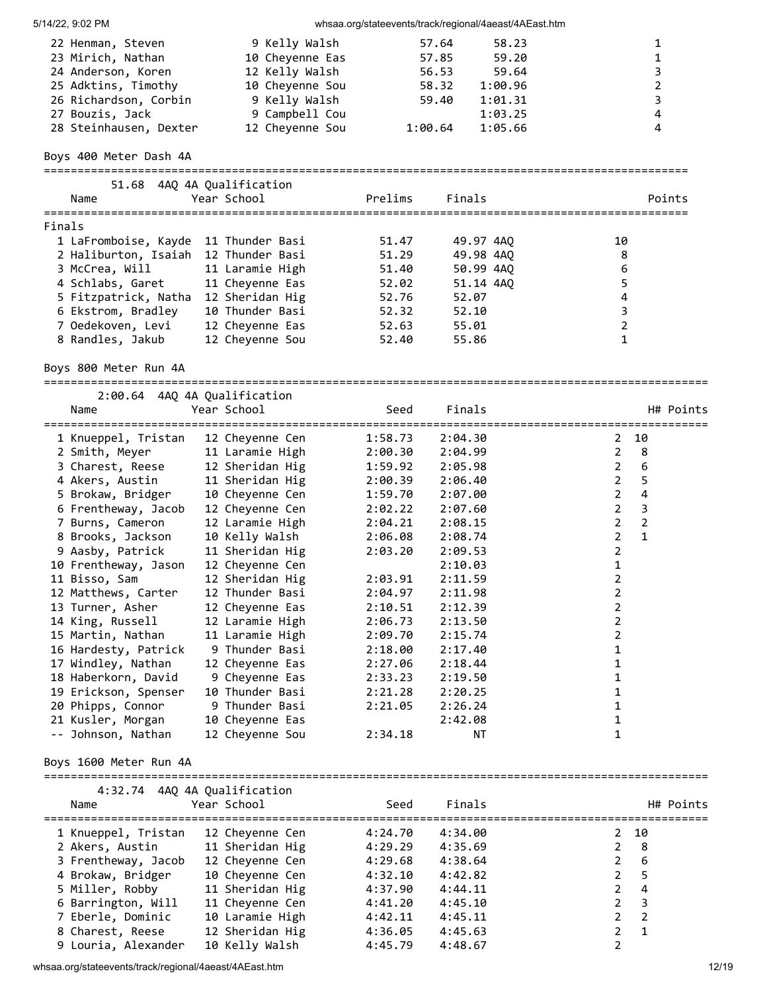|        | 5/14/22, 9:02 PM                                                                                             |                                   |                                                                                        |                    |                                           | whsaa.org/stateevents/track/regional/4aeast/4AEast.htm |                                |                                                                     |  |
|--------|--------------------------------------------------------------------------------------------------------------|-----------------------------------|----------------------------------------------------------------------------------------|--------------------|-------------------------------------------|--------------------------------------------------------|--------------------------------|---------------------------------------------------------------------|--|
|        | 22 Henman, Steven<br>23 Mirich, Nathan<br>24 Anderson, Koren<br>25 Adktins, Timothy<br>26 Richardson, Corbin |                                   | 9 Kelly Walsh<br>10 Cheyenne Eas<br>12 Kelly Walsh<br>10 Cheyenne Sou<br>9 Kelly Walsh |                    | 57.64<br>57.85<br>56.53<br>58.32<br>59.40 | 58.23<br>59.20<br>59.64<br>1:00.96<br>1:01.31          |                                | 1<br>$\mathbf{1}$<br>3<br>$\overline{2}$<br>$\overline{\mathbf{3}}$ |  |
|        | 27 Bouzis, Jack                                                                                              |                                   | 9 Campbell Cou                                                                         |                    |                                           | 1:03.25                                                |                                | $\overline{4}$                                                      |  |
|        | 28 Steinhausen, Dexter                                                                                       |                                   | 12 Cheyenne Sou                                                                        |                    | 1:00.64                                   | 1:05.66                                                |                                | 4                                                                   |  |
|        | Boys 400 Meter Dash 4A                                                                                       |                                   |                                                                                        |                    |                                           |                                                        |                                |                                                                     |  |
|        | 51.68 4AQ 4A Qualification                                                                                   |                                   |                                                                                        |                    |                                           |                                                        |                                |                                                                     |  |
|        | Name                                                                                                         | Year School                       |                                                                                        | Prelims            | Finals                                    |                                                        |                                | Points                                                              |  |
| Finals |                                                                                                              |                                   |                                                                                        |                    |                                           |                                                        |                                |                                                                     |  |
|        | 1 LaFromboise, Kayde                                                                                         | 11 Thunder Basi                   |                                                                                        | 51.47              | 49.97 4AQ                                 |                                                        | 10                             |                                                                     |  |
|        | 2 Haliburton, Isaiah 12 Thunder Basi                                                                         |                                   |                                                                                        | 51.29              | 49.98 4AQ                                 |                                                        | 8                              |                                                                     |  |
|        | 3 McCrea, Will                                                                                               | 11 Laramie High                   |                                                                                        | 51.40              | 50.99 4AQ                                 |                                                        | 6                              |                                                                     |  |
|        | 4 Schlabs, Garet                                                                                             | 11 Cheyenne Eas                   |                                                                                        | 52.02              | 51.14 4AQ                                 |                                                        | 5                              |                                                                     |  |
|        | 5 Fitzpatrick, Natha 12 Sheridan Hig                                                                         |                                   |                                                                                        | 52.76              | 52.07                                     |                                                        | 4                              |                                                                     |  |
|        | 6 Ekstrom, Bradley                                                                                           | 10 Thunder Basi                   |                                                                                        | 52.32              | 52.10                                     |                                                        | 3                              |                                                                     |  |
|        | 7 Oedekoven, Levi                                                                                            | 12 Cheyenne Eas                   |                                                                                        | 52.63              | 55.01                                     |                                                        | $\mathbf 2$                    |                                                                     |  |
|        | 8 Randles, Jakub                                                                                             | 12 Cheyenne Sou                   |                                                                                        | 52.40              | 55.86                                     |                                                        | 1                              |                                                                     |  |
|        | Boys 800 Meter Run 4A                                                                                        |                                   |                                                                                        |                    |                                           |                                                        |                                |                                                                     |  |
|        | 2:00.64 4AQ 4A Qualification                                                                                 |                                   |                                                                                        |                    |                                           |                                                        |                                |                                                                     |  |
|        | Name                                                                                                         | Year School                       |                                                                                        | Seed               | Finals                                    |                                                        |                                | H# Points                                                           |  |
|        |                                                                                                              |                                   |                                                                                        |                    |                                           |                                                        |                                |                                                                     |  |
|        | 1 Knueppel, Tristan 12 Cheyenne Cen<br>2 Smith, Meyer                                                        | 11 Laramie High                   |                                                                                        | 1:58.73<br>2:00.30 | 2:04.30<br>2:04.99                        |                                                        | $\mathbf{2}$<br>$\overline{2}$ | 10<br>8                                                             |  |
|        | 3 Charest, Reese                                                                                             | 12 Sheridan Hig                   |                                                                                        | 1:59.92            | 2:05.98                                   |                                                        | $\overline{2}$                 | 6                                                                   |  |
|        | 4 Akers, Austin                                                                                              | 11 Sheridan Hig                   |                                                                                        | 2:00.39            | 2:06.40                                   |                                                        | $\overline{2}$                 | 5                                                                   |  |
|        | 5 Brokaw, Bridger                                                                                            | 10 Cheyenne Cen                   |                                                                                        | 1:59.70            | 2:07.00                                   |                                                        | $\overline{2}$                 | $\pmb{4}$                                                           |  |
|        | 6 Frentheway, Jacob                                                                                          | 12 Cheyenne Cen                   |                                                                                        | 2:02.22            | 2:07.60                                   |                                                        | $\overline{2}$                 | $\mathsf 3$                                                         |  |
|        | 7 Burns, Cameron                                                                                             | 12 Laramie High                   |                                                                                        | 2:04.21            | 2:08.15                                   |                                                        | $\overline{2}$                 | $\mathbf 2$                                                         |  |
|        | 8 Brooks, Jackson                                                                                            | 10 Kelly Walsh                    |                                                                                        | 2:06.08            | 2:08.74                                   |                                                        | $\overline{2}$                 | $\mathbf{1}$                                                        |  |
|        | 9 Aasby, Patrick                                                                                             | 11 Sheridan Hig                   |                                                                                        | 2:03.20            | 2:09.53                                   |                                                        | $\overline{2}$                 |                                                                     |  |
|        | 10 Frentheway, Jason                                                                                         | 12 Cheyenne Cen                   |                                                                                        |                    | 2:10.03                                   |                                                        | 1                              |                                                                     |  |
|        | 11 Bisso, Sam                                                                                                | 12 Sheridan Hig                   |                                                                                        | 2:03.91            | 2:11.59                                   |                                                        | $\overline{\mathbf{c}}$        |                                                                     |  |
|        | 12 Matthews, Carter                                                                                          | 12 Thunder Basi                   |                                                                                        | 2:04.97            | 2:11.98                                   |                                                        | 2                              |                                                                     |  |
|        | 13 Turner, Asher                                                                                             | 12 Cheyenne Eas                   |                                                                                        | 2:10.51            | 2:12.39                                   |                                                        | 2                              |                                                                     |  |
|        | 14 King, Russell                                                                                             | 12 Laramie High                   |                                                                                        | 2:06.73            | 2:13.50                                   |                                                        | 2                              |                                                                     |  |
|        | 15 Martin, Nathan                                                                                            | 11 Laramie High<br>9 Thunder Basi |                                                                                        | 2:09.70            | 2:15.74                                   |                                                        | 2<br>1                         |                                                                     |  |
|        | 16 Hardesty, Patrick<br>17 Windley, Nathan                                                                   | 12 Cheyenne Eas                   |                                                                                        | 2:18.00<br>2:27.06 | 2:17.40<br>2:18.44                        |                                                        | 1                              |                                                                     |  |
|        | 18 Haberkorn, David                                                                                          | 9 Cheyenne Eas                    |                                                                                        | 2:33.23            | 2:19.50                                   |                                                        | 1                              |                                                                     |  |
|        | 19 Erickson, Spenser                                                                                         | 10 Thunder Basi                   |                                                                                        | 2:21.28            | 2:20.25                                   |                                                        | 1                              |                                                                     |  |
|        | 20 Phipps, Connor                                                                                            | 9 Thunder Basi                    |                                                                                        | 2:21.05            | 2:26.24                                   |                                                        | 1                              |                                                                     |  |
|        | 21 Kusler, Morgan                                                                                            | 10 Cheyenne Eas                   |                                                                                        |                    | 2:42.08                                   |                                                        | 1                              |                                                                     |  |
|        | -- Johnson, Nathan                                                                                           | 12 Cheyenne Sou                   |                                                                                        | 2:34.18            | ΝT                                        |                                                        | 1                              |                                                                     |  |
|        | Boys 1600 Meter Run 4A                                                                                       |                                   |                                                                                        |                    |                                           |                                                        |                                |                                                                     |  |
|        | 4:32.74 4AQ 4A Qualification                                                                                 |                                   |                                                                                        |                    |                                           |                                                        |                                |                                                                     |  |
|        | Name                                                                                                         | Year School                       |                                                                                        | Seed               | Finals                                    |                                                        |                                | H# Points                                                           |  |
|        | 1 Knueppel, Tristan                                                                                          | 12 Cheyenne Cen                   |                                                                                        | 4:24.70            | 4:34.00                                   |                                                        | 2                              | 10                                                                  |  |
|        | 2 Akers, Austin                                                                                              | 11 Sheridan Hig                   |                                                                                        | 4:29.29            | 4:35.69                                   |                                                        | $\overline{2}$                 | 8                                                                   |  |
|        | 3 Frentheway, Jacob                                                                                          | 12 Cheyenne Cen                   |                                                                                        | 4:29.68            | 4:38.64                                   |                                                        | 2                              | 6                                                                   |  |
|        | 4 Brokaw, Bridger                                                                                            | 10 Cheyenne Cen                   |                                                                                        | 4:32.10            | 4:42.82                                   |                                                        | 2                              | 5                                                                   |  |
|        | 5 Miller, Robby                                                                                              | 11 Sheridan Hig                   |                                                                                        | 4:37.90            | 4:44.11                                   |                                                        | $\overline{2}$                 | 4                                                                   |  |
|        | 6 Barrington, Will                                                                                           | 11 Cheyenne Cen                   |                                                                                        | 4:41.20            | 4:45.10                                   |                                                        | $\overline{2}$                 | 3                                                                   |  |
|        | 7 Eberle, Dominic                                                                                            | 10 Laramie High                   |                                                                                        | 4:42.11            | 4:45.11                                   |                                                        | $\overline{2}$                 | $\overline{2}$                                                      |  |
|        | 8 Charest, Reese                                                                                             | 12 Sheridan Hig                   |                                                                                        | 4:36.05            | 4:45.63                                   |                                                        | $\overline{2}$                 | 1                                                                   |  |
|        | 9 Louria, Alexander                                                                                          | 10 Kelly Walsh                    |                                                                                        | 4:45.79            | 4:48.67                                   |                                                        | $\overline{2}$                 |                                                                     |  |

whsaa.org/stateevents/track/regional/4aeast/4AEast.htm 12/19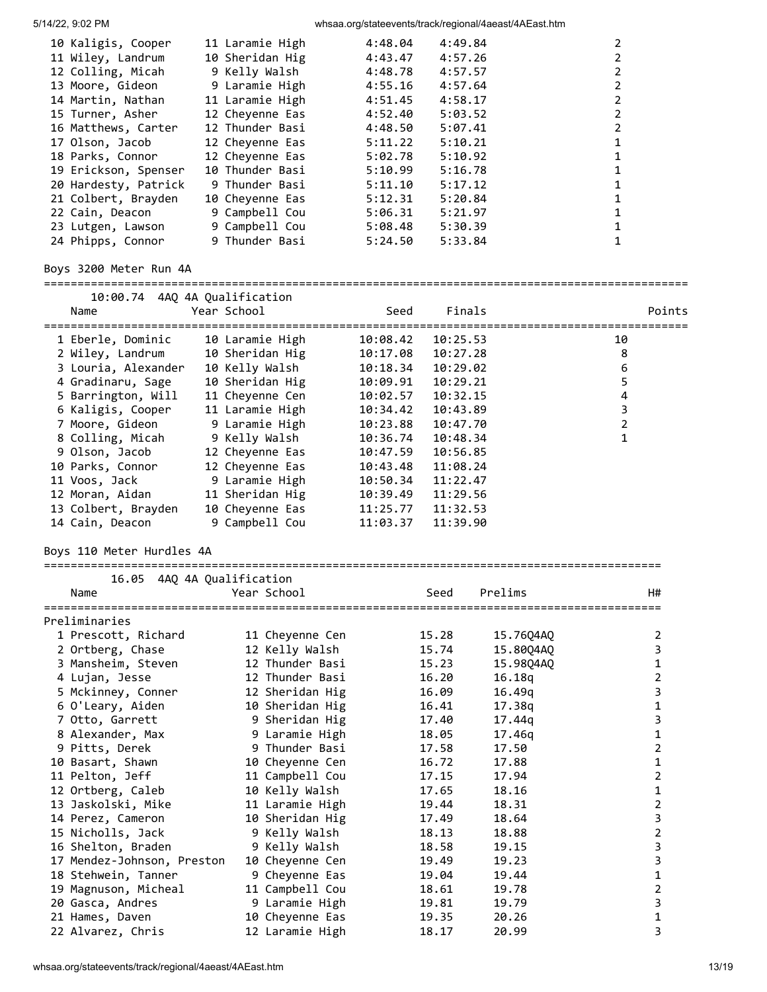| 10 Kaligis, Cooper   | 11 Laramie High | 4:48.04 | 4:49.84 |  |
|----------------------|-----------------|---------|---------|--|
| 11 Wiley, Landrum    | 10 Sheridan Hig | 4:43.47 | 4:57.26 |  |
| 12 Colling, Micah    | 9 Kelly Walsh   | 4:48.78 | 4:57.57 |  |
| 13 Moore, Gideon     | 9 Laramie High  | 4:55.16 | 4:57.64 |  |
| 14 Martin, Nathan    | 11 Laramie High | 4:51.45 | 4:58.17 |  |
| 15 Turner, Asher     | 12 Chevenne Eas | 4:52.40 | 5:03.52 |  |
| 16 Matthews, Carter  | 12 Thunder Basi | 4:48.50 | 5:07.41 |  |
| 17 Olson, Jacob      | 12 Chevenne Eas | 5:11.22 | 5:10.21 |  |
| 18 Parks, Connor     | 12 Cheyenne Eas | 5:02.78 | 5:10.92 |  |
| 19 Erickson, Spenser | 10 Thunder Basi | 5:10.99 | 5:16.78 |  |
| 20 Hardesty, Patrick | 9 Thunder Basi  | 5:11.10 | 5:17.12 |  |
| 21 Colbert, Brayden  | 10 Chevenne Eas | 5:12.31 | 5:20.84 |  |
| 22 Cain, Deacon      | 9 Campbell Cou  | 5:06.31 | 5:21.97 |  |
| 23 Lutgen, Lawson    | 9 Campbell Cou  | 5:08.48 | 5:30.39 |  |
| 24 Phipps, Connor    | 9 Thunder Basi  | 5:24.50 | 5:33.84 |  |

# Boys 3200 Meter Run 4A

| 10:00.74<br>Name                    | 4AQ 4A Qualification<br>Year School | Seed     | Finals         |                          |                | Points                  |
|-------------------------------------|-------------------------------------|----------|----------------|--------------------------|----------------|-------------------------|
| 1 Eberle, Dominic                   | 10 Laramie High                     | 10:08.42 | 10:25.53       |                          | 10             |                         |
| 2 Wiley, Landrum                    | 10 Sheridan Hig                     | 10:17.08 | 10:27.28       |                          | 8              |                         |
| 3 Louria, Alexander                 | 10 Kelly Walsh                      | 10:18.34 | 10:29.02       |                          | 6              |                         |
| 4 Gradinaru, Sage                   | 10 Sheridan Hig                     | 10:09.91 | 10:29.21       |                          | 5              |                         |
| 5 Barrington, Will                  | 11 Cheyenne Cen                     | 10:02.57 | 10:32.15       |                          | 4              |                         |
| 6 Kaligis, Cooper                   | 11 Laramie High                     | 10:34.42 | 10:43.89       |                          | 3              |                         |
| 7 Moore, Gideon                     | 9 Laramie High                      | 10:23.88 | 10:47.70       |                          | $\overline{2}$ |                         |
| 8 Colling, Micah                    | 9 Kelly Walsh                       | 10:36.74 | 10:48.34       |                          | $\mathbf{1}$   |                         |
| 9 Olson, Jacob                      | 12 Cheyenne Eas                     | 10:47.59 | 10:56.85       |                          |                |                         |
| 10 Parks, Connor                    | 12 Cheyenne Eas                     | 10:43.48 | 11:08.24       |                          |                |                         |
| 11 Voos, Jack                       | 9 Laramie High                      | 10:50.34 | 11:22.47       |                          |                |                         |
| 12 Moran, Aidan                     | 11 Sheridan Hig                     | 10:39.49 | 11:29.56       |                          |                |                         |
| 13 Colbert, Brayden                 | 10 Cheyenne Eas                     | 11:25.77 | 11:32.53       |                          |                |                         |
| 14 Cain, Deacon                     | 9 Campbell Cou                      | 11:03.37 | 11:39.90       |                          |                |                         |
| Boys 110 Meter Hurdles 4A           | =========================           |          |                | ======================== |                |                         |
| 16.05 4AQ 4A Qualification          |                                     |          |                |                          |                |                         |
| Name                                | Year School                         |          | Seed           | Prelims                  |                | H#                      |
| ==================<br>Preliminaries | ======================              |          |                |                          |                |                         |
| 1 Prescott, Richard                 | 11 Cheyenne Cen                     |          | 15.28          | 15.76Q4AQ                |                | 2                       |
| 2 Ortberg, Chase                    | 12 Kelly Walsh                      |          | 15.74          | 15.80Q4AQ                |                | 3                       |
| 3 Mansheim, Steven                  | 12 Thunder Basi                     |          | 15.23          | 15.98Q4AQ                |                | 1                       |
| 4 Lujan, Jesse                      | 12 Thunder Basi                     |          | 16.20          | 16.18q                   |                | $\overline{2}$          |
| 5 Mckinney, Conner                  | 12 Sheridan Hig                     |          | 16.09          | 16.49q                   |                | $\overline{\mathbf{3}}$ |
| 6 O'Leary, Aiden                    | 10 Sheridan Hig                     |          | 16.41          | 17.38g                   |                | $\mathbf 1$             |
| 7 Otto, Garrett                     | 9 Sheridan Hig                      |          | 17.40          | 17.44q                   |                | 3                       |
| 8 Alexander, Max                    | 9 Laramie High                      |          | 18.05          | 17.46g                   |                | 1                       |
| 9 Pitts, Derek                      | 9 Thunder Basi                      |          | 17.58          | 17.50                    |                | $\overline{2}$          |
| 10 Basart, Shawn                    | 10 Cheyenne Cen                     |          | 16.72          | 17.88                    |                | 1                       |
| 11 Pelton, Jeff                     | 11 Campbell Cou                     |          | 17.15          | 17.94                    |                | $\overline{2}$          |
| 12 Ortberg, Caleb                   | 10 Kelly Walsh                      |          | 17.65          | 18.16                    |                | $\mathbf{1}$            |
| 13 Jaskolski, Mike                  | 11 Laramie High                     |          | 19.44          | 18.31                    |                | $\overline{2}$          |
| 14 Perez, Cameron                   | 10 Sheridan Hig                     |          | 17.49          | 18.64                    |                | 3                       |
| 15 Nicholls, Jack                   | 9 Kelly Walsh                       |          | 18.13          | 18.88                    |                | $\overline{2}$          |
| 16 Shelton, Braden                  | 9 Kelly Walsh                       |          | 18.58          | 19.15                    |                | 3                       |
| 17 Mendez-Johnson, Preston          | 10 Cheyenne Cen                     |          | 19.49          | 19.23                    |                | 3                       |
|                                     | 9 Cheyenne Eas                      |          | 19.04          | 19.44                    |                | 1                       |
|                                     |                                     |          |                |                          |                |                         |
| 18 Stehwein, Tanner                 |                                     |          |                |                          |                |                         |
| 19 Magnuson, Micheal                | 11 Campbell Cou                     |          | 18.61          | 19.78                    |                | 2                       |
| 20 Gasca, Andres<br>21 Hames, Daven | 9 Laramie High<br>10 Cheyenne Eas   |          | 19.81<br>19.35 | 19.79<br>20.26           |                | 3<br>1                  |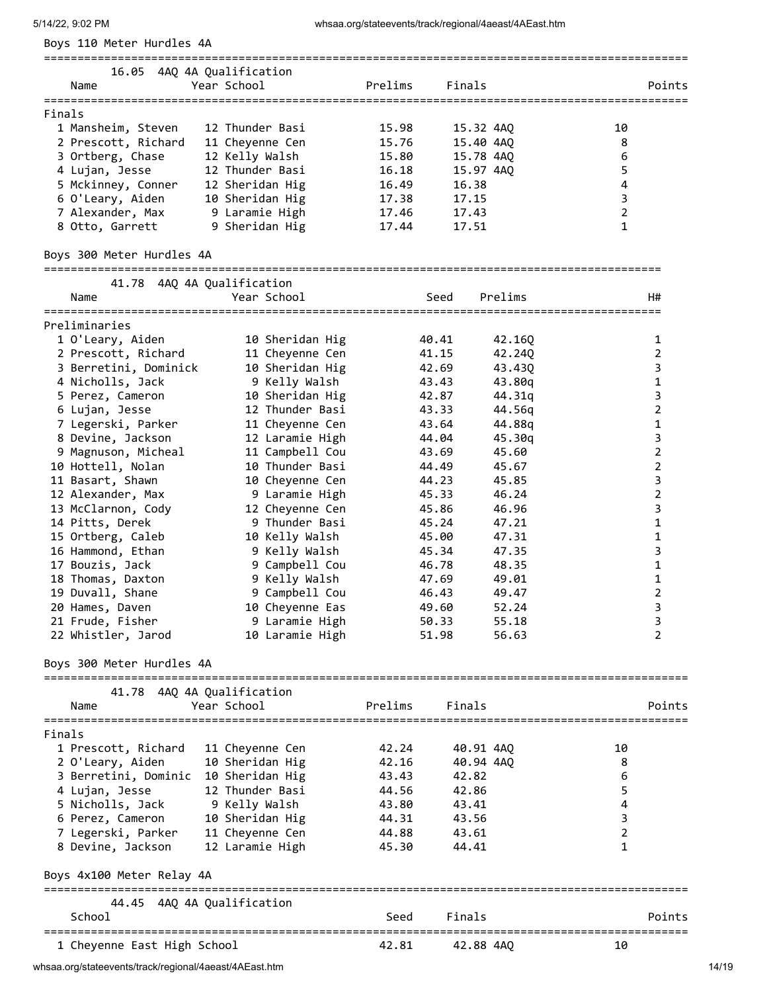|  |  |  | Boys 110 Meter Hurdles 4A |  |
|--|--|--|---------------------------|--|
|--|--|--|---------------------------|--|

| 4AQ 4A Qualification<br>16.05<br>Year School<br>Finals<br>Prelims<br>Name<br>12 Thunder Basi<br>1 Mansheim, Steven<br>15.98<br>15.32 4AO<br>10<br>2 Prescott, Richard<br>15.40 4AO<br>11 Cheyenne Cen<br>15.76<br>8<br>12 Kelly Walsh<br>15.78 4AO<br>3 Ortberg, Chase<br>15.80<br>6<br>4 Lujan, Jesse<br>15.97 4AO<br>12 Thunder Basi<br>16.18<br>5 Mckinney, Conner<br>12 Sheridan Hig<br>16.38<br>16.49<br>4<br>10 Sheridan Hig<br>3<br>6 O'Leary, Aiden<br>17.38<br>17.15<br>9 Laramie High<br>7 Alexander, Max<br>2<br>17.46<br>17.43<br>9 Sheridan Hig<br>17.44<br>8 Otto, Garrett<br>17.51 |  |  |        |
|---------------------------------------------------------------------------------------------------------------------------------------------------------------------------------------------------------------------------------------------------------------------------------------------------------------------------------------------------------------------------------------------------------------------------------------------------------------------------------------------------------------------------------------------------------------------------------------------------|--|--|--------|
| Finals                                                                                                                                                                                                                                                                                                                                                                                                                                                                                                                                                                                            |  |  | Points |
|                                                                                                                                                                                                                                                                                                                                                                                                                                                                                                                                                                                                   |  |  |        |
|                                                                                                                                                                                                                                                                                                                                                                                                                                                                                                                                                                                                   |  |  |        |
|                                                                                                                                                                                                                                                                                                                                                                                                                                                                                                                                                                                                   |  |  |        |
|                                                                                                                                                                                                                                                                                                                                                                                                                                                                                                                                                                                                   |  |  |        |
|                                                                                                                                                                                                                                                                                                                                                                                                                                                                                                                                                                                                   |  |  |        |
|                                                                                                                                                                                                                                                                                                                                                                                                                                                                                                                                                                                                   |  |  |        |
|                                                                                                                                                                                                                                                                                                                                                                                                                                                                                                                                                                                                   |  |  |        |
|                                                                                                                                                                                                                                                                                                                                                                                                                                                                                                                                                                                                   |  |  |        |
|                                                                                                                                                                                                                                                                                                                                                                                                                                                                                                                                                                                                   |  |  |        |

### Boys 300 Meter Hurdles 4A

| 41.78 4AQ 4A Qualification |                 |       |         |                |  |  |  |  |  |  |
|----------------------------|-----------------|-------|---------|----------------|--|--|--|--|--|--|
| Name                       | Year School     | Seed  | Prelims | H#             |  |  |  |  |  |  |
| Preliminaries              |                 |       |         |                |  |  |  |  |  |  |
| 1 O'Leary, Aiden           | 10 Sheridan Hig | 40.41 | 42.160  | 1              |  |  |  |  |  |  |
| 2 Prescott, Richard        | 11 Cheyenne Cen | 41.15 | 42.240  | 2              |  |  |  |  |  |  |
| 3 Berretini, Dominick      | 10 Sheridan Hig | 42.69 | 43.430  | 3              |  |  |  |  |  |  |
| 4 Nicholls, Jack           | 9 Kelly Walsh   | 43.43 | 43.80g  | 1              |  |  |  |  |  |  |
| 5 Perez, Cameron           | 10 Sheridan Hig | 42.87 | 44.31g  | 3              |  |  |  |  |  |  |
| 6 Lujan, Jesse             | 12 Thunder Basi | 43.33 | 44.56g  | $\overline{2}$ |  |  |  |  |  |  |
| 7 Legerski, Parker         | 11 Cheyenne Cen | 43.64 | 44.88g  | $\mathbf 1$    |  |  |  |  |  |  |
| 8 Devine, Jackson          | 12 Laramie High | 44.04 | 45.30g  | 3              |  |  |  |  |  |  |
| 9 Magnuson, Micheal        | 11 Campbell Cou | 43.69 | 45.60   | $\overline{2}$ |  |  |  |  |  |  |
| 10 Hottell, Nolan          | 10 Thunder Basi | 44.49 | 45.67   | $\overline{2}$ |  |  |  |  |  |  |
| 11 Basart, Shawn           | 10 Cheyenne Cen | 44.23 | 45.85   | 3              |  |  |  |  |  |  |
| 12 Alexander, Max          | 9 Laramie High  | 45.33 | 46.24   | $\overline{2}$ |  |  |  |  |  |  |
| 13 McClarnon, Cody         | 12 Cheyenne Cen | 45.86 | 46.96   | 3              |  |  |  |  |  |  |
| 14 Pitts, Derek            | 9 Thunder Basi  | 45.24 | 47.21   | 1              |  |  |  |  |  |  |
| 15 Ortberg, Caleb          | 10 Kelly Walsh  | 45.00 | 47.31   | $\mathbf 1$    |  |  |  |  |  |  |
| 16 Hammond, Ethan          | 9 Kelly Walsh   | 45.34 | 47.35   | 3              |  |  |  |  |  |  |
| 17 Bouzis, Jack            | 9 Campbell Cou  | 46.78 | 48.35   | 1              |  |  |  |  |  |  |
| 18 Thomas, Daxton          | 9 Kelly Walsh   | 47.69 | 49.01   | 1              |  |  |  |  |  |  |
| 19 Duvall, Shane           | 9 Campbell Cou  | 46.43 | 49.47   | $\overline{2}$ |  |  |  |  |  |  |
| 20 Hames, Daven            | 10 Cheyenne Eas | 49.60 | 52.24   | 3              |  |  |  |  |  |  |
| 21 Frude, Fisher           | 9 Laramie High  | 50.33 | 55.18   | 3              |  |  |  |  |  |  |
| 22 Whistler, Jarod         | 10 Laramie High | 51.98 | 56.63   | $\overline{2}$ |  |  |  |  |  |  |
|                            |                 |       |         |                |  |  |  |  |  |  |
| Boys 300 Meter Hurdles 4A  |                 |       |         |                |  |  |  |  |  |  |
|                            |                 |       |         |                |  |  |  |  |  |  |

 41.78 4AQ 4A Qualification Name Year School Prelims Finals Points ================================================================================================ Finals 1 Prescott, Richard 11 Cheyenne Cen 42.24 40.91 4AQ 10 2 O'Leary, Aiden 10 Sheridan Hig 42.16 40.94 4AQ 8 3 Berretini, Dominic 10 Sheridan Hig 43.43 42.82 6 4 Lujan, Jesse 12 Thunder Basi 44.56 42.86 5 5 Nicholls, Jack 9 Kelly Walsh 43.80 43.41 4 6 Perez, Cameron 10 Sheridan Hig 44.31 43.56 3 7 Legerski, Parker 11 Cheyenne Cen 44.88 43.61 2 8 Devine, Jackson 12 Laramie High 45.30 44.41 1 Boys 4x100 Meter Relay 4A ================================================================================================ 44.45 4AQ 4A Qualification School School Seed Finals Points ================================================================================================ 1 Cheyenne East High School 42.81 42.88 4AQ 10

whsaa.org/stateevents/track/regional/4aeast/4AEast.htm 14/19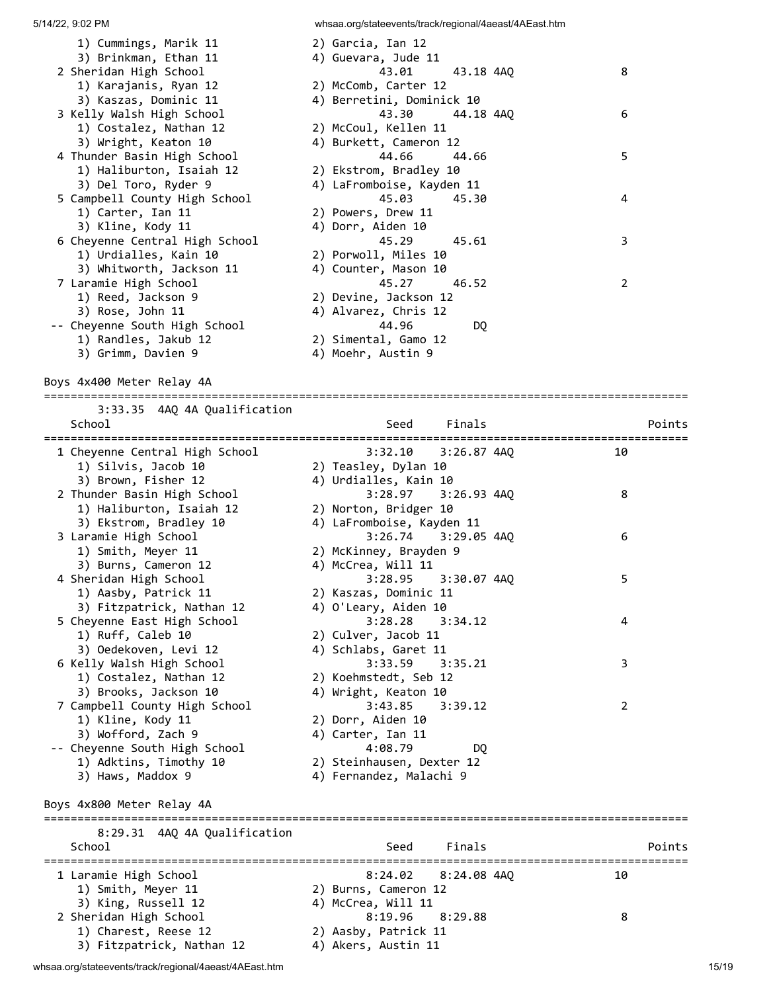| 1) Cummings, Marik 11<br>3) Brinkman, Ethan 11      | 2) Garcia, Ian 12<br>4) Guevara, Jude 11   |                                       |
|-----------------------------------------------------|--------------------------------------------|---------------------------------------|
| 2 Sheridan High School<br>1) Karajanis, Ryan 12     | 43.01<br>43.18 4AQ<br>2) McComb, Carter 12 | 8                                     |
| 3) Kaszas, Dominic 11                               | 4) Berretini, Dominick 10                  |                                       |
| 3 Kelly Walsh High School                           | 44.18 4AQ<br>43.30                         | 6                                     |
| 1) Costalez, Nathan 12                              | 2) McCoul, Kellen 11                       |                                       |
| 3) Wright, Keaton 10<br>4 Thunder Basin High School | 4) Burkett, Cameron 12<br>44.66<br>44.66   | 5                                     |
| 1) Haliburton, Isaiah 12                            | 2) Ekstrom, Bradley 10                     |                                       |
| 3) Del Toro, Ryder 9                                | 4) LaFromboise, Kayden 11                  |                                       |
| 5 Campbell County High School                       | 45.03<br>45.30                             | 4                                     |
| 1) Carter, Ian 11                                   | 2) Powers, Drew 11                         |                                       |
| 3) Kline, Kody 11                                   | 4) Dorr, Aiden 10                          |                                       |
| 6 Cheyenne Central High School                      | 45.29<br>45.61                             | 3                                     |
| 1) Urdialles, Kain 10                               | 2) Porwoll, Miles 10                       |                                       |
| 3) Whitworth, Jackson 11                            | 4) Counter, Mason 10                       |                                       |
| 7 Laramie High School                               | 45.27<br>46.52                             | 2                                     |
| 1) Reed, Jackson 9                                  | 2) Devine, Jackson 12                      |                                       |
| 3) Rose, John 11                                    | 4) Alvarez, Chris 12                       |                                       |
| -- Cheyenne South High School                       | 44.96<br>DQ                                |                                       |
| 1) Randles, Jakub 12                                | 2) Simental, Gamo 12                       |                                       |
| 3) Grimm, Davien 9                                  | 4) Moehr, Austin 9                         |                                       |
| Boys 4x400 Meter Relay 4A                           | ________________________                   |                                       |
| 3:33.35 4AQ 4A Qualification                        |                                            |                                       |
| School                                              | Finals<br>Seed                             | Points                                |
|                                                     |                                            |                                       |
| 1 Cheyenne Central High School                      | 3:32.10<br>$3:26.87$ $4AQ$                 | 10                                    |
| 1) Silvis, Jacob 10                                 | 2) Teasley, Dylan 10                       |                                       |
| 3) Brown, Fisher 12                                 | 4) Urdialles, Kain 10                      |                                       |
| 2 Thunder Basin High School                         | 3:28.97<br>$3:26.93$ $4AQ$                 | 8                                     |
| 1) Haliburton, Isaiah 12                            | 2) Norton, Bridger 10                      |                                       |
| 3) Ekstrom, Bradley 10                              | 4) LaFromboise, Kayden 11                  |                                       |
| 3 Laramie High School                               | 3:26.74<br>3:29.05 4AQ                     | 6                                     |
| 1) Smith, Meyer 11                                  | 2) McKinney, Brayden 9                     |                                       |
| 3) Burns, Cameron 12                                | 4) McCrea, Will 11<br>3:28.95              | 5                                     |
| 4 Sheridan High School<br>1) Aasby, Patrick 11      | $3:30.07$ 4AQ<br>2) Kaszas, Dominic 11     |                                       |
| 3) Fitzpatrick, Nathan 12                           | 4) O'Leary, Aiden 10                       |                                       |
| 5 Cheyenne East High School                         | 3:28.28<br>3:34.12                         | 4                                     |
| 1) Ruff, Caleb 10                                   | 2) Culver, Jacob 11                        |                                       |
| 3) Oedekoven, Levi 12                               | 4) Schlabs, Garet 11                       |                                       |
| 6 Kelly Walsh High School                           | 3:33.59<br>3:35.21                         | 3                                     |
| 1) Costalez, Nathan 12                              | 2) Koehmstedt, Seb 12                      |                                       |
| 3) Brooks, Jackson 10                               | 4) Wright, Keaton 10                       |                                       |
| 7 Campbell County High School                       | 3:43.85<br>3:39.12                         | $\overline{2}$                        |
| 1) Kline, Kody 11                                   | 2) Dorr, Aiden 10                          |                                       |
| 3) Wofford, Zach 9                                  | 4) Carter, Ian 11                          |                                       |
| -- Cheyenne South High School                       | 4:08.79<br>DQ.                             |                                       |
| 1) Adktins, Timothy 10                              | 2) Steinhausen, Dexter 12                  |                                       |
| 3) Haws, Maddox 9                                   | 4) Fernandez, Malachi 9                    |                                       |
| Boys 4x800 Meter Relay 4A                           |                                            |                                       |
|                                                     |                                            |                                       |
| 8:29.31 4AQ 4A Qualification                        |                                            |                                       |
| School                                              | Finals<br>Seed                             | Points                                |
| 1 Laramie High School                               | 8:24.02<br>$8:24.08$ $4AQ$                 | ===============================<br>10 |
| 1) Smith, Meyer 11                                  | 2) Burns, Cameron 12                       |                                       |
| 3) King, Russell 12                                 | 4) McCrea, Will 11                         |                                       |
| 2 Sheridan High School                              | 8:19.96<br>8:29.88                         | 8                                     |
| 1) Charest, Reese 12                                | 2) Aasby, Patrick 11                       |                                       |
| 3) Fitzpatrick, Nathan 12                           | 4) Akers, Austin 11                        |                                       |

whsaa.org/stateevents/track/regional/4aeast/4AEast.htm 15/19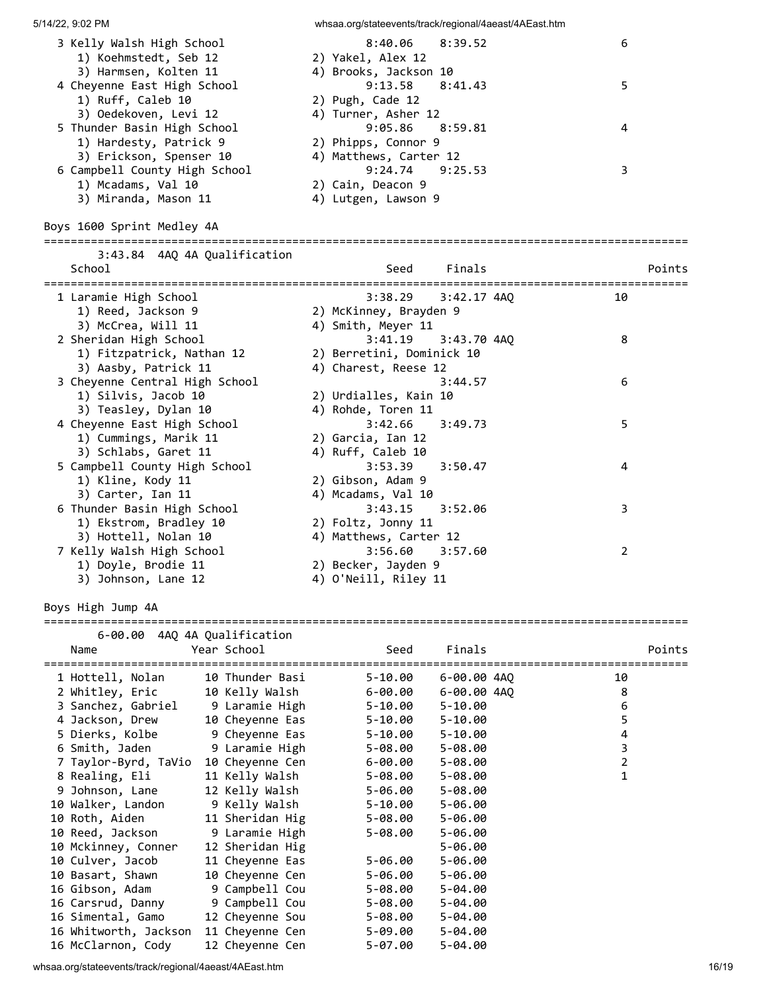| 5/14/22, 9:02 PM                                                               |                                   | whsaa.org/stateevents/track/regional/4aeast/4AEast.htm |                                |                                |        |
|--------------------------------------------------------------------------------|-----------------------------------|--------------------------------------------------------|--------------------------------|--------------------------------|--------|
| 3 Kelly Walsh High School<br>1) Koehmstedt, Seb 12                             |                                   | 8:40.06<br>2) Yakel, Alex 12                           | 8:39.52                        | 6                              |        |
| 3) Harmsen, Kolten 11<br>4 Cheyenne East High School<br>1) Ruff, Caleb 10      |                                   | 4) Brooks, Jackson 10<br>9:13.58<br>2) Pugh, Cade 12   | 8:41.43                        | 5                              |        |
| 3) Oedekoven, Levi 12<br>5 Thunder Basin High School<br>1) Hardesty, Patrick 9 |                                   | 4) Turner, Asher 12<br>9:05.86<br>2) Phipps, Connor 9  | 8:59.81                        | 4                              |        |
| 3) Erickson, Spenser 10<br>6 Campbell County High School<br>1) Mcadams, Val 10 |                                   | 4) Matthews, Carter 12<br>9:24.74<br>2) Cain, Deacon 9 | 9:25.53                        | 3                              |        |
| 3) Miranda, Mason 11<br>Boys 1600 Sprint Medley 4A                             |                                   | 4) Lutgen, Lawson 9                                    |                                |                                |        |
|                                                                                |                                   |                                                        |                                |                                |        |
| 3:43.84 4AQ 4A Qualification<br>School                                         |                                   | Seed                                                   | Finals                         | ============================== | Points |
| 1 Laramie High School                                                          |                                   | 3:38.29                                                | 3:42.17 4AQ                    | 10                             |        |
| 1) Reed, Jackson 9<br>3) McCrea, Will 11                                       |                                   | 2) McKinney, Brayden 9<br>4) Smith, Meyer 11           |                                |                                |        |
| 2 Sheridan High School                                                         |                                   | 3:41.19                                                | 3:43.70 4AQ                    | 8                              |        |
| 1) Fitzpatrick, Nathan 12                                                      |                                   | 2) Berretini, Dominick 10                              |                                |                                |        |
| 3) Aasby, Patrick 11<br>3 Cheyenne Central High School                         |                                   | 4) Charest, Reese 12                                   | 3:44.57                        | 6                              |        |
| 1) Silvis, Jacob 10                                                            |                                   | 2) Urdialles, Kain 10                                  |                                |                                |        |
| 3) Teasley, Dylan 10                                                           |                                   | 4) Rohde, Toren 11                                     |                                |                                |        |
| 4 Cheyenne East High School                                                    |                                   | 3:42.66                                                | 3:49.73                        | 5                              |        |
| 1) Cummings, Marik 11<br>3) Schlabs, Garet 11                                  |                                   | 2) Garcia, Ian 12<br>4) Ruff, Caleb 10                 |                                |                                |        |
| 5 Campbell County High School                                                  |                                   | 3:53.39                                                | 3:50.47                        | 4                              |        |
| 1) Kline, Kody 11                                                              |                                   | 2) Gibson, Adam 9                                      |                                |                                |        |
| 3) Carter, Ian 11                                                              |                                   | 4) Mcadams, Val 10<br>3:43.15                          |                                |                                |        |
| 6 Thunder Basin High School<br>1) Ekstrom, Bradley 10                          |                                   | 2) Foltz, Jonny 11                                     | 3:52.06                        | 3                              |        |
| 3) Hottell, Nolan 10                                                           |                                   | 4) Matthews, Carter 12                                 |                                |                                |        |
| 7 Kelly Walsh High School                                                      |                                   | 3:56.60                                                | 3:57.60                        | $\overline{2}$                 |        |
| 1) Doyle, Brodie 11                                                            |                                   | 2) Becker, Jayden 9<br>4) O'Neill, Riley 11            |                                |                                |        |
| 3) Johnson, Lane 12                                                            |                                   |                                                        |                                |                                |        |
| Boys High Jump 4A                                                              |                                   |                                                        |                                |                                |        |
| 6-00.00 4AQ 4A Qualification                                                   |                                   |                                                        |                                |                                |        |
| Year School<br>Name                                                            |                                   | Seed                                                   | Finals                         |                                | Points |
|                                                                                |                                   |                                                        |                                |                                |        |
| 1 Hottell, Nolan                                                               | 10 Thunder Basi                   | $5 - 10.00$                                            | 6-00.00 4AQ                    | 10                             |        |
| 2 Whitley, Eric<br>3 Sanchez, Gabriel                                          | 10 Kelly Walsh<br>9 Laramie High  | $6 - 00.00$<br>$5 - 10.00$                             | $6 - 00.00 4AQ$<br>$5 - 10.00$ | 8<br>6                         |        |
| 4 Jackson, Drew                                                                | 10 Cheyenne Eas                   | $5 - 10.00$                                            | $5 - 10.00$                    | 5                              |        |
| 5 Dierks, Kolbe                                                                | 9 Cheyenne Eas                    | $5 - 10.00$                                            | $5 - 10.00$                    | $\overline{\mathbf{4}}$        |        |
| 6 Smith, Jaden                                                                 | 9 Laramie High                    | $5 - 08.00$                                            | $5 - 08.00$                    | 3                              |        |
| 7 Taylor-Byrd, TaVio                                                           | 10 Cheyenne Cen                   | $6 - 00.00$                                            | 5-08.00                        | $\mathbf 2$                    |        |
| 8 Realing, Eli<br>9 Johnson, Lane                                              | 11 Kelly Walsh<br>12 Kelly Walsh  | $5 - 08.00$<br>$5 - 06.00$                             | 5-08.00<br>$5 - 08.00$         | $\mathbf{1}$                   |        |
| 10 Walker, Landon                                                              | 9 Kelly Walsh                     | $5 - 10.00$                                            | $5 - 06.00$                    |                                |        |
| 10 Roth, Aiden                                                                 | 11 Sheridan Hig                   | $5 - 08.00$                                            | 5-06.00                        |                                |        |
| 10 Reed, Jackson                                                               | 9 Laramie High                    | $5 - 08.00$                                            | 5-06.00                        |                                |        |
| 10 Mckinney, Conner                                                            | 12 Sheridan Hig                   |                                                        | $5 - 06.00$                    |                                |        |
| 10 Culver, Jacob                                                               | 11 Cheyenne Eas                   | $5 - 06.00$                                            | $5 - 06.00$                    |                                |        |
| 10 Basart, Shawn                                                               | 10 Cheyenne Cen                   | $5 - 06.00$                                            | $5 - 06.00$                    |                                |        |
| 16 Gibson, Adam                                                                | 9 Campbell Cou                    | $5 - 08.00$                                            | 5-04.00                        |                                |        |
| 16 Carsrud, Danny<br>16 Simental, Gamo                                         | 9 Campbell Cou<br>12 Cheyenne Sou | $5 - 08.00$<br>$5 - 08.00$                             | $5 - 04.00$<br>5-04.00         |                                |        |
| 16 Whitworth, Jackson                                                          | 11 Cheyenne Cen                   | $5 - 09.00$                                            | 5-04.00                        |                                |        |
| 16 McClarnon, Cody                                                             | 12 Cheyenne Cen                   | $5 - 07.00$                                            | 5-04.00                        |                                |        |

whsaa.org/stateevents/track/regional/4aeast/4AEast.htm 16/19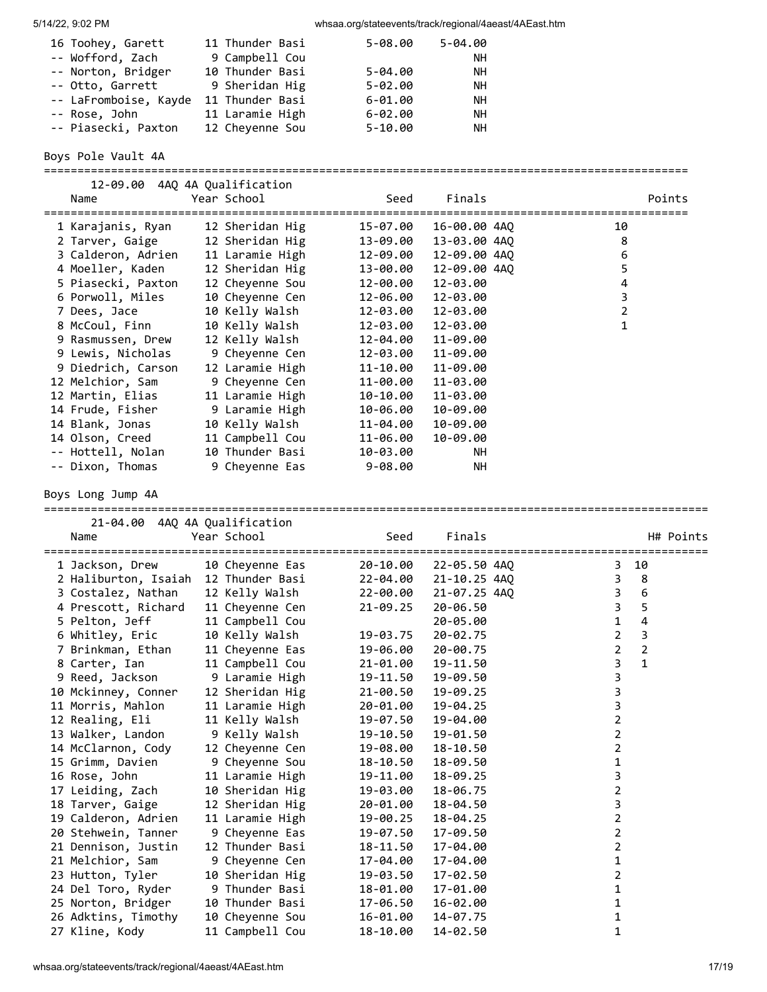| 16 Toohey, Garett     | 11 Thunder Basi | $5 - 08.00$ | $5 - 04.00$ |
|-----------------------|-----------------|-------------|-------------|
| -- Wofford, Zach      | 9 Campbell Cou  |             | NΗ          |
| -- Norton, Bridger    | 10 Thunder Basi | $5 - 04.00$ | NΗ          |
| -- Otto, Garrett      | 9 Sheridan Hig  | $5 - 02.00$ | NΗ          |
| -- LaFromboise, Kayde | 11 Thunder Basi | $6 - 01.00$ | NΗ          |
| -- Rose, John         | 11 Laramie High | $6 - 02.00$ | NΗ          |
| -- Piasecki, Paxton   | 12 Cheyenne Sou | $5 - 10.00$ | NΗ          |

Boys Pole Vault 4A

================================================================================================

| 12-09.00 4AO 4A Oualification         |                 |             |              |                              |        |
|---------------------------------------|-----------------|-------------|--------------|------------------------------|--------|
| Name                                  | Year School     | Seed        | Finals       |                              | Points |
| 1 Karajanis, Ryan     12 Sheridan Hig |                 | 15-07.00    | 16-00.00 4AQ | ======================<br>10 |        |
| 2 Tarver, Gaige 12 Sheridan Hig       |                 | 13-09.00    | 13-03.00 4AO | 8                            |        |
| 3 Calderon, Adrien                    | 11 Laramie High | 12-09.00    | 12-09.00 4AQ | 6                            |        |
| 4 Moeller, Kaden                      | 12 Sheridan Hig | 13-00.00    | 12-09.00 4AO | 5                            |        |
| 5 Piasecki, Paxton                    | 12 Cheyenne Sou | 12-00.00    | 12-03.00     | 4                            |        |
| 6 Porwoll, Miles                      | 10 Cheyenne Cen | 12-06.00    | 12-03.00     | 3                            |        |
| 7 Dees, Jace                          | 10 Kelly Walsh  | 12-03.00    | 12-03.00     | 2                            |        |
| 8 McCoul, Finn                        | 10 Kelly Walsh  | 12-03.00    | 12-03.00     | $\mathbf{1}$                 |        |
| 9 Rasmussen, Drew 12 Kelly Walsh      |                 | 12-04.00    | 11-09.00     |                              |        |
| 9 Lewis, Nicholas 9 Cheyenne Cen      |                 | 12-03.00    | 11-09.00     |                              |        |
| 9 Diedrich, Carson                    | 12 Laramie High | 11-10.00    | 11-09.00     |                              |        |
| 12 Melchior, Sam                      | 9 Cheyenne Cen  | 11-00.00    | 11-03.00     |                              |        |
| 12 Martin, Elias                      | 11 Laramie High | 10-10.00    | 11-03.00     |                              |        |
|                                       |                 | 10-06.00    | 10-09.00     |                              |        |
| 14 Blank, Jonas                       | 10 Kelly Walsh  | 11-04.00    | 10-09.00     |                              |        |
| 14 Olson, Creed                       | 11 Campbell Cou | 11-06.00    | 10-09.00     |                              |        |
| -- Hottell, Nolan                     | 10 Thunder Basi | 10-03.00    | NН           |                              |        |
| -- Dixon, Thomas                      | 9 Cheyenne Eas  | $9 - 08.00$ | NН           |                              |        |

Boys Long Jump 4A

| 21-04.00 4AO 4A Oualification |                                                 |              |              |                                 |                         |                |           |
|-------------------------------|-------------------------------------------------|--------------|--------------|---------------------------------|-------------------------|----------------|-----------|
| Name                          | Year School                                     | Seed         | Finals       |                                 |                         |                | H# Points |
| 1 Jackson, Drew               | ============================<br>10 Chevenne Eas | 20-10.00     | 22-05.50 4AO | =============================== | 3                       | 10             |           |
| 2 Haliburton, Isaiah          | 12 Thunder Basi                                 | 22-04.00     | 21-10.25 4AQ |                                 | 3                       | 8              |           |
| 3 Costalez, Nathan            | 12 Kelly Walsh                                  | 22-00.00     | 21-07.25 4AQ |                                 | 3                       | 6              |           |
| 4 Prescott, Richard           | 11 Cheyenne Cen                                 | $21 - 09.25$ | 20-06.50     |                                 | $\overline{\mathbf{3}}$ | 5              |           |
| 5 Pelton, Jeff                | 11 Campbell Cou                                 |              | 20-05.00     |                                 | $\mathbf{1}$            | 4              |           |
| 6 Whitley, Eric               | 10 Kelly Walsh                                  | 19-03.75     | 20-02.75     |                                 | $\overline{2}$          | 3              |           |
| 7 Brinkman, Ethan             | 11 Cheyenne Eas                                 | 19-06.00     | 20-00.75     |                                 | $\overline{2}$          | $\overline{2}$ |           |
| 8 Carter, Ian                 | 11 Campbell Cou                                 | 21-01.00     | 19-11.50     |                                 | 3                       | $\mathbf{1}$   |           |
| 9 Reed, Jackson               | 9 Laramie High                                  | 19-11.50     | 19-09.50     |                                 | 3                       |                |           |
| 10 Mckinney, Conner           | 12 Sheridan Hig                                 | $21 - 00.50$ | 19-09.25     |                                 | 3                       |                |           |
| 11 Morris, Mahlon             | 11 Laramie High                                 | 20-01.00     | 19-04.25     |                                 | 3                       |                |           |
| 12 Realing, Eli               | 11 Kelly Walsh                                  | 19-07.50     | 19-04.00     |                                 | $\overline{2}$          |                |           |
| 13 Walker, Landon             | 9 Kelly Walsh                                   | 19-10.50     | 19-01.50     |                                 | 2                       |                |           |
| 14 McClarnon, Cody            | 12 Cheyenne Cen                                 | 19-08.00     | 18-10.50     |                                 | $\overline{2}$          |                |           |
| 15 Grimm, Davien              | 9 Cheyenne Sou                                  | 18-10.50     | 18-09.50     |                                 | 1                       |                |           |
| 16 Rose, John                 | 11 Laramie High                                 | 19-11.00     | 18-09.25     |                                 | 3                       |                |           |
| 17 Leiding, Zach              | 10 Sheridan Hig                                 | 19-03.00     | 18-06.75     |                                 | $\overline{2}$          |                |           |
| 18 Tarver, Gaige              | 12 Sheridan Hig                                 | 20-01.00     | 18-04.50     |                                 | 3                       |                |           |
| 19 Calderon, Adrien           | 11 Laramie High                                 | 19-00.25     | 18-04.25     |                                 | $\overline{2}$          |                |           |
| 20 Stehwein, Tanner           | 9 Cheyenne Eas                                  | 19-07.50     | 17-09.50     |                                 | 2                       |                |           |
| 21 Dennison, Justin           | 12 Thunder Basi                                 | 18-11.50     | 17-04.00     |                                 | $\overline{2}$          |                |           |
| 21 Melchior, Sam              | 9 Cheyenne Cen                                  | 17-04.00     | 17-04.00     |                                 | 1                       |                |           |
| 23 Hutton, Tyler              | 10 Sheridan Hig                                 | 19-03.50     | 17-02.50     |                                 | $\overline{2}$          |                |           |
| 24 Del Toro, Ryder            | 9 Thunder Basi                                  | 18-01.00     | 17-01.00     |                                 | 1                       |                |           |
| 25 Norton, Bridger            | 10 Thunder Basi                                 | 17-06.50     | 16-02.00     |                                 | 1                       |                |           |
| 26 Adktins, Timothy           | 10 Cheyenne Sou                                 | 16-01.00     | 14-07.75     |                                 | 1                       |                |           |
| 27 Kline, Kody                | 11 Campbell Cou                                 | 18-10.00     | 14-02.50     |                                 | 1                       |                |           |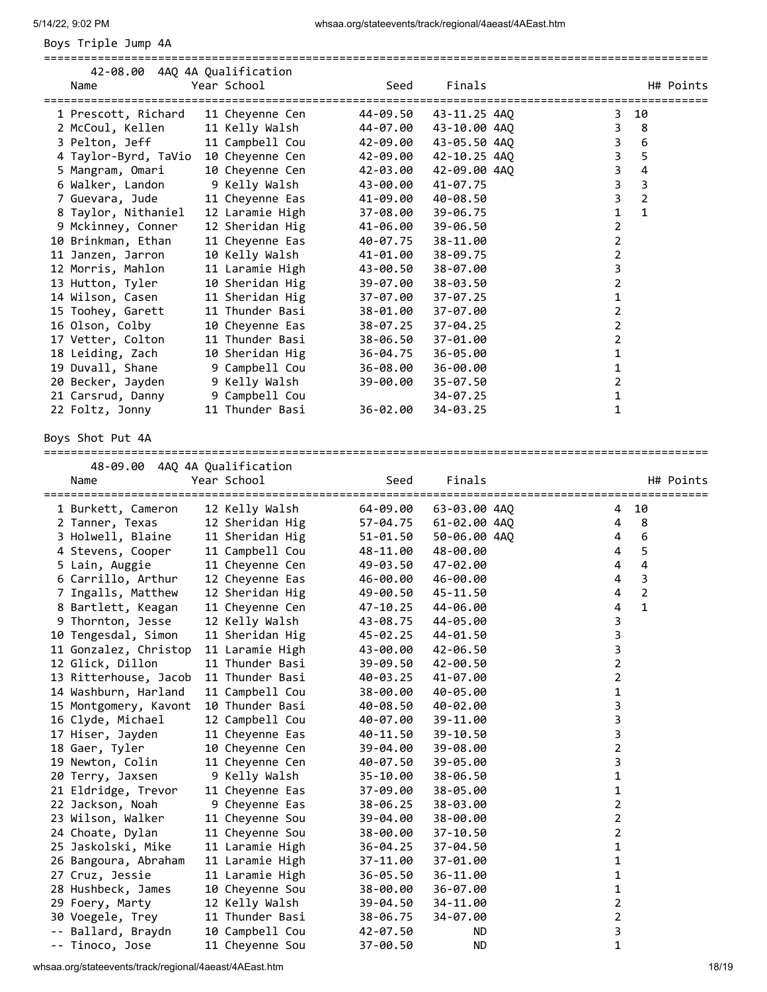Boys Triple Jump 4A

| 42-08.00 4AQ 4A Qualification<br>Name | Year School     | Seed     | Finals       |   |                | H# Points |
|---------------------------------------|-----------------|----------|--------------|---|----------------|-----------|
| 1 Prescott, Richard                   | 11 Cheyenne Cen | 44-09.50 | 43-11.25 4AQ | 3 | 10             |           |
| 2 McCoul, Kellen                      | 11 Kelly Walsh  | 44-07.00 | 43-10.00 4AQ | 3 | 8              |           |
| 3 Pelton, Jeff                        | 11 Campbell Cou | 42-09.00 | 43-05.50 4AQ | 3 | 6              |           |
| 4 Taylor-Byrd, TaVio                  | 10 Cheyenne Cen | 42-09.00 | 42-10.25 4AQ | 3 | 5              |           |
| 5 Mangram, Omari                      | 10 Cheyenne Cen | 42-03.00 | 42-09.00 4AO | 3 | 4              |           |
| 6 Walker, Landon                      | 9 Kelly Walsh   | 43-00.00 | 41-07.75     | 3 | 3              |           |
| 7 Guevara, Jude                       | 11 Cheyenne Eas | 41-09.00 | 40-08.50     | 3 | $\overline{2}$ |           |
| 8 Taylor, Nithaniel                   | 12 Laramie High | 37-08.00 | 39-06.75     | 1 | $\mathbf{1}$   |           |
| 9 Mckinney, Conner                    | 12 Sheridan Hig | 41-06.00 | 39-06.50     | 2 |                |           |
| 10 Brinkman, Ethan                    | 11 Cheyenne Eas | 40-07.75 | 38-11.00     | 2 |                |           |
| 11 Janzen, Jarron                     | 10 Kelly Walsh  | 41-01.00 | 38-09.75     | 2 |                |           |
| 12 Morris, Mahlon                     | 11 Laramie High | 43-00.50 | 38-07.00     | 3 |                |           |
| 13 Hutton, Tyler                      | 10 Sheridan Hig | 39-07.00 | 38-03.50     | 2 |                |           |
| 14 Wilson, Casen                      | 11 Sheridan Hig | 37-07.00 | 37-07.25     | 1 |                |           |
| 15 Toohey, Garett                     | 11 Thunder Basi | 38-01.00 | 37-07.00     | 2 |                |           |
| 16 Olson, Colby                       | 10 Cheyenne Eas | 38-07.25 | 37-04.25     | 2 |                |           |
| 17 Vetter, Colton                     | 11 Thunder Basi | 38-06.50 | 37-01.00     | 2 |                |           |
| 18 Leiding, Zach                      | 10 Sheridan Hig | 36-04.75 | 36-05.00     | 1 |                |           |
| 19 Duvall, Shane                      | 9 Campbell Cou  | 36-08.00 | 36-00.00     | 1 |                |           |
| 20 Becker, Jayden                     | 9 Kelly Walsh   | 39-00.00 | 35-07.50     | 2 |                |           |
| 21 Carsrud, Danny                     | 9 Campbell Cou  |          | 34-07.25     | 1 |                |           |
| 22 Foltz, Jonny                       | 11 Thunder Basi | 36-02.00 | 34-03.25     | 1 |                |           |
|                                       |                 |          |              |   |                |           |

===================================================================================================

Boys Shot Put 4A

| 48-09.00              | 4AQ 4A Qualification |          |              |                |                                                  |
|-----------------------|----------------------|----------|--------------|----------------|--------------------------------------------------|
| Name                  | Year School          | Seed     | Finals       |                | H# Points<br>=================================== |
| 1 Burkett, Cameron    | 12 Kelly Walsh       | 64-09.00 | 63-03.00 4AQ | 4              | 10                                               |
| 2 Tanner, Texas       | 12 Sheridan Hig      | 57-04.75 | 61-02.00 4AQ | 4              | 8                                                |
| 3 Holwell, Blaine     | 11 Sheridan Hig      | 51-01.50 | 50-06.00 4AO | 4              | 6                                                |
| 4 Stevens, Cooper     | 11 Campbell Cou      | 48-11.00 | 48-00.00     | 4              | 5                                                |
| 5 Lain, Auggie        | 11 Cheyenne Cen      | 49-03.50 | 47-02.00     | 4              | $\overline{4}$                                   |
| 6 Carrillo, Arthur    | 12 Cheyenne Eas      | 46-00.00 | 46-00.00     | 4              | $\overline{3}$                                   |
| 7 Ingalls, Matthew    | 12 Sheridan Hig      | 49-00.50 | 45-11.50     | 4              | $\overline{2}$                                   |
| 8 Bartlett, Keagan    | 11 Cheyenne Cen      | 47-10.25 | 44-06.00     | 4              | $\mathbf{1}$                                     |
| 9 Thornton, Jesse     | 12 Kelly Walsh       | 43-08.75 | 44-05.00     | 3              |                                                  |
| 10 Tengesdal, Simon   | 11 Sheridan Hig      | 45-02.25 | 44-01.50     | 3              |                                                  |
| 11 Gonzalez, Christop | 11 Laramie High      | 43-00.00 | 42-06.50     | 3              |                                                  |
| 12 Glick, Dillon      | 11 Thunder Basi      | 39-09.50 | 42-00.50     | $\overline{2}$ |                                                  |
| 13 Ritterhouse, Jacob | 11 Thunder Basi      | 40-03.25 | 41-07.00     | $\overline{2}$ |                                                  |
| 14 Washburn, Harland  | 11 Campbell Cou      | 38-00.00 | 40-05.00     | $\mathbf{1}$   |                                                  |
| 15 Montgomery, Kavont | 10 Thunder Basi      | 40-08.50 | 40-02.00     | 3              |                                                  |
| 16 Clyde, Michael     | 12 Campbell Cou      | 40-07.00 | 39-11.00     | 3              |                                                  |
| 17 Hiser, Jayden      | 11 Cheyenne Eas      | 40-11.50 | 39-10.50     | 3              |                                                  |
| 18 Gaer, Tyler        | 10 Cheyenne Cen      | 39-04.00 | 39-08.00     | $\overline{2}$ |                                                  |
| 19 Newton, Colin      | 11 Cheyenne Cen      | 40-07.50 | 39-05.00     | 3              |                                                  |
| 20 Terry, Jaxsen      | 9 Kelly Walsh        | 35-10.00 | 38-06.50     | 1              |                                                  |
| 21 Eldridge, Trevor   | 11 Cheyenne Eas      | 37-09.00 | 38-05.00     | 1              |                                                  |
| 22 Jackson, Noah      | 9 Cheyenne Eas       | 38-06.25 | 38-03.00     | $\overline{2}$ |                                                  |
| 23 Wilson, Walker     | 11 Cheyenne Sou      | 39-04.00 | 38-00.00     | $\overline{2}$ |                                                  |
| 24 Choate, Dylan      | 11 Cheyenne Sou      | 38-00.00 | $37 - 10.50$ | $\overline{2}$ |                                                  |
| 25 Jaskolski, Mike    | 11 Laramie High      | 36-04.25 | 37-04.50     | $\mathbf 1$    |                                                  |
| 26 Bangoura, Abraham  | 11 Laramie High      | 37-11.00 | 37-01.00     | $\mathbf 1$    |                                                  |
| 27 Cruz, Jessie       | 11 Laramie High      | 36-05.50 | 36-11.00     | $\mathbf 1$    |                                                  |
| 28 Hushbeck, James    | 10 Cheyenne Sou      | 38-00.00 | 36-07.00     | 1              |                                                  |
| 29 Foery, Marty       | 12 Kelly Walsh       | 39-04.50 | 34-11.00     | $\overline{2}$ |                                                  |
| 30 Voegele, Trey      | 11 Thunder Basi      | 38-06.75 | 34-07.00     | $\overline{2}$ |                                                  |
| -- Ballard, Braydn    | 10 Campbell Cou      | 42-07.50 | ND.          | 3              |                                                  |
| -- Tinoco, Jose       | 11 Cheyenne Sou      | 37-00.50 | ND.          | 1              |                                                  |

whsaa.org/stateevents/track/regional/4aeast/4AEast.htm 18/19